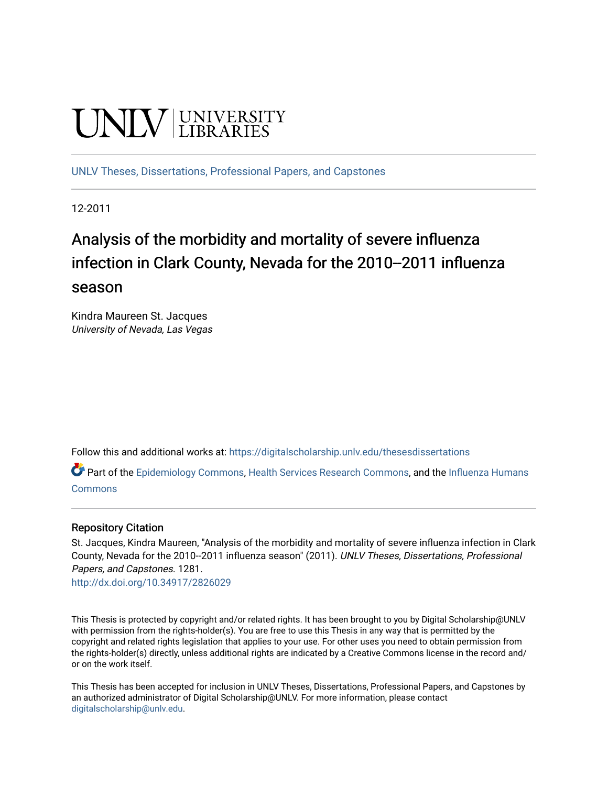# **UNIVERSITY**

[UNLV Theses, Dissertations, Professional Papers, and Capstones](https://digitalscholarship.unlv.edu/thesesdissertations)

12-2011

# Analysis of the morbidity and mortality of severe influenza infection in Clark County, Nevada for the 2010--2011 influenza season

Kindra Maureen St. Jacques University of Nevada, Las Vegas

Follow this and additional works at: [https://digitalscholarship.unlv.edu/thesesdissertations](https://digitalscholarship.unlv.edu/thesesdissertations?utm_source=digitalscholarship.unlv.edu%2Fthesesdissertations%2F1281&utm_medium=PDF&utm_campaign=PDFCoverPages)

Part of the [Epidemiology Commons,](http://network.bepress.com/hgg/discipline/740?utm_source=digitalscholarship.unlv.edu%2Fthesesdissertations%2F1281&utm_medium=PDF&utm_campaign=PDFCoverPages) [Health Services Research Commons,](http://network.bepress.com/hgg/discipline/816?utm_source=digitalscholarship.unlv.edu%2Fthesesdissertations%2F1281&utm_medium=PDF&utm_campaign=PDFCoverPages) and the Influenza Humans [Commons](http://network.bepress.com/hgg/discipline/1069?utm_source=digitalscholarship.unlv.edu%2Fthesesdissertations%2F1281&utm_medium=PDF&utm_campaign=PDFCoverPages)

#### Repository Citation

St. Jacques, Kindra Maureen, "Analysis of the morbidity and mortality of severe influenza infection in Clark County, Nevada for the 2010--2011 influenza season" (2011). UNLV Theses, Dissertations, Professional Papers, and Capstones. 1281.

<http://dx.doi.org/10.34917/2826029>

This Thesis is protected by copyright and/or related rights. It has been brought to you by Digital Scholarship@UNLV with permission from the rights-holder(s). You are free to use this Thesis in any way that is permitted by the copyright and related rights legislation that applies to your use. For other uses you need to obtain permission from the rights-holder(s) directly, unless additional rights are indicated by a Creative Commons license in the record and/ or on the work itself.

This Thesis has been accepted for inclusion in UNLV Theses, Dissertations, Professional Papers, and Capstones by an authorized administrator of Digital Scholarship@UNLV. For more information, please contact [digitalscholarship@unlv.edu](mailto:digitalscholarship@unlv.edu).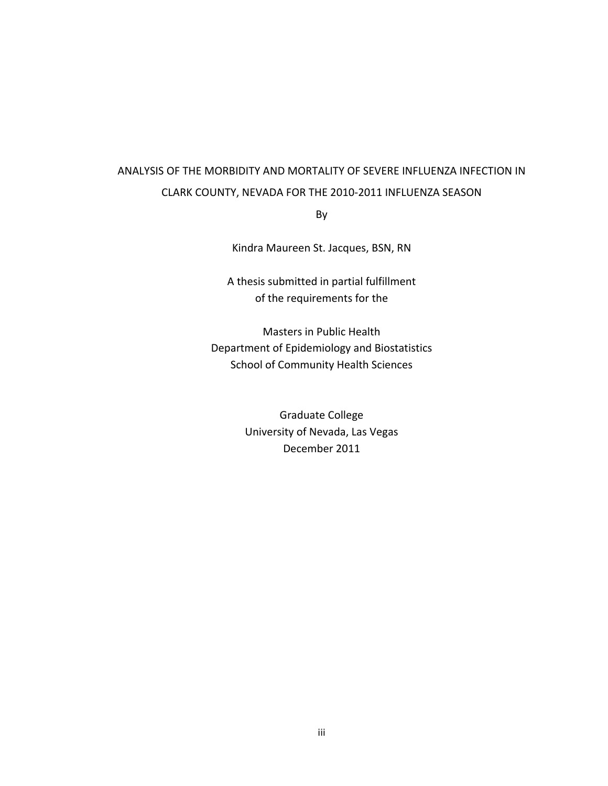# ANALYSIS OF THE MORBIDITY AND MORTALITY OF SEVERE INFLUENZA INFECTION IN CLARK
COUNTY,
NEVADA
FOR
THE
2010‐2011
INFLUENZA
SEASON

By

Kindra
Maureen
St.
Jacques,
BSN,
RN

A
thesis
submitted
in
partial
fulfillment of
the
requirements
for
the

Masters
in
Public
Health Department
of
Epidemiology
and
Biostatistics School
of
Community
Health
Sciences

> Graduate
> College University
> of
> Nevada,
> Las
> Vegas December
> 2011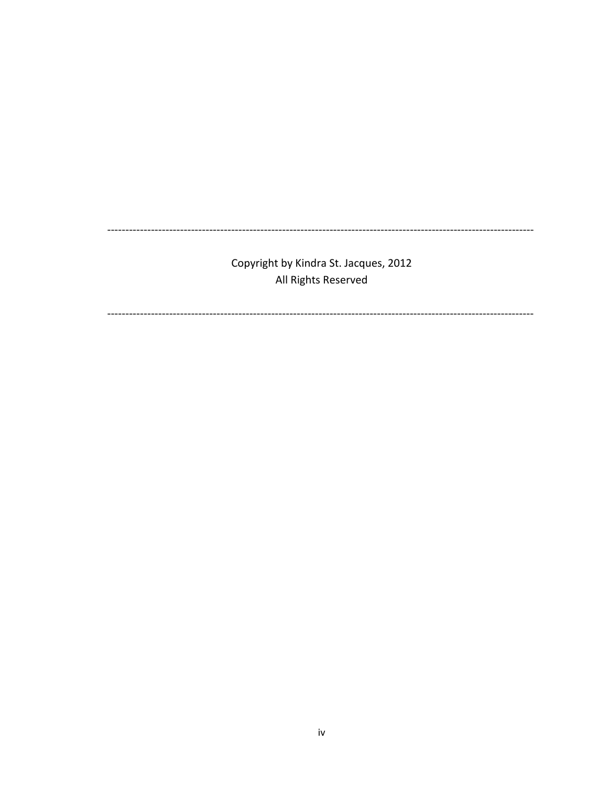Copyright by Kindra St. Jacques, 2012 All Rights Reserved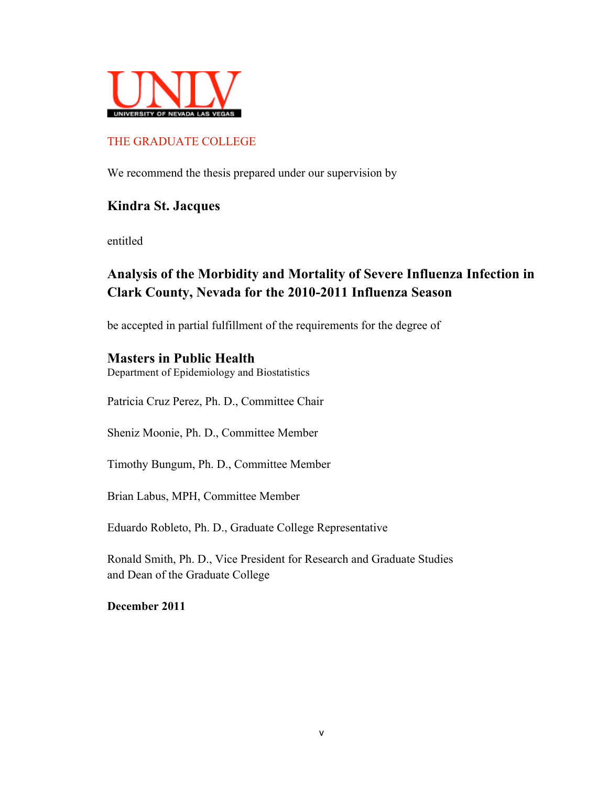

# THE GRADUATE COLLEGE

We recommend the thesis prepared under our supervision by

# **Kindra St. Jacques**

entitled

# **Analysis of the Morbidity and Mortality of Severe Influenza Infection in Clark County, Nevada for the 2010-2011 Influenza Season**

be accepted in partial fulfillment of the requirements for the degree of

# **Masters in Public Health**

Department of Epidemiology and Biostatistics

Patricia Cruz Perez, Ph. D., Committee Chair

Sheniz Moonie, Ph. D., Committee Member

Timothy Bungum, Ph. D., Committee Member

Brian Labus, MPH, Committee Member

Eduardo Robleto, Ph. D., Graduate College Representative

Ronald Smith, Ph. D., Vice President for Research and Graduate Studies and Dean of the Graduate College

**December 2011**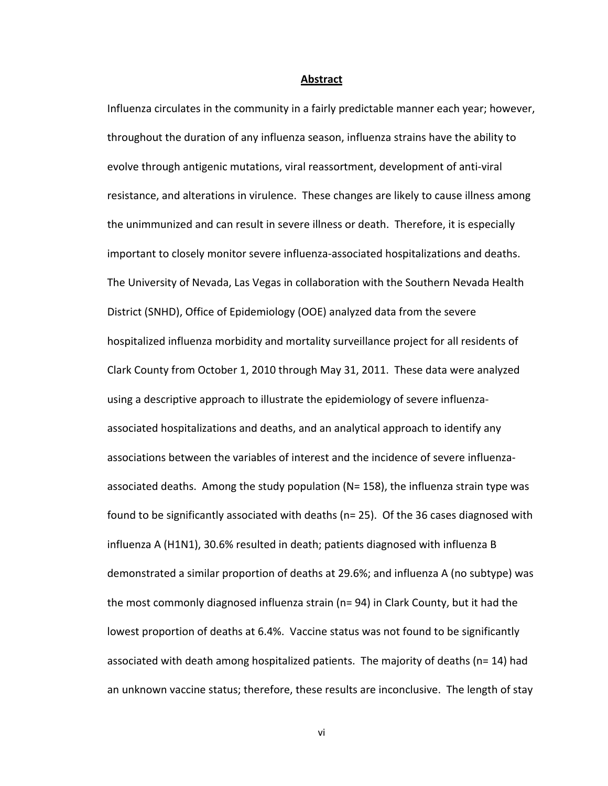#### **Abstract**

Influenza circulates in the community in a fairly predictable manner each year; however, throughout the duration of any influenza season, influenza strains have the ability to evolve through antigenic mutations, viral reassortment, development of anti-viral resistance, and alterations in virulence. These changes are likely to cause illness among the unimmunized and can result in severe illness or death. Therefore, it is especially important to closely monitor severe influenza-associated hospitalizations and deaths. The University of Nevada, Las Vegas in collaboration with the Southern Nevada Health District
(SNHD),
Office
of
Epidemiology
(OOE) analyzed
data
from
the
severe hospitalized influenza morbidity and mortality surveillance project for all residents of Clark
County
from
October
1,
2010
through
May
31,
2011.

These
data
were
analyzed using a descriptive approach to illustrate the epidemiology of severe influenzaassociated hospitalizations and deaths, and an analytical approach to identify any associations between the variables of interest and the incidence of severe influenzaassociated deaths. Among the study population ( $N = 158$ ), the influenza strain type was found to be significantly associated with deaths ( $n=25$ ). Of the 36 cases diagnosed with influenza A (H1N1), 30.6% resulted in death; patients diagnosed with influenza B demonstrated a similar proportion of deaths at 29.6%; and influenza A (no subtype) was the most commonly diagnosed influenza strain (n= 94) in Clark County, but it had the lowest proportion of deaths at 6.4%. Vaccine status was not found to be significantly associated with death among hospitalized patients. The majority of deaths (n= 14) had an unknown vaccine status; therefore, these results are inconclusive. The length of stay

vi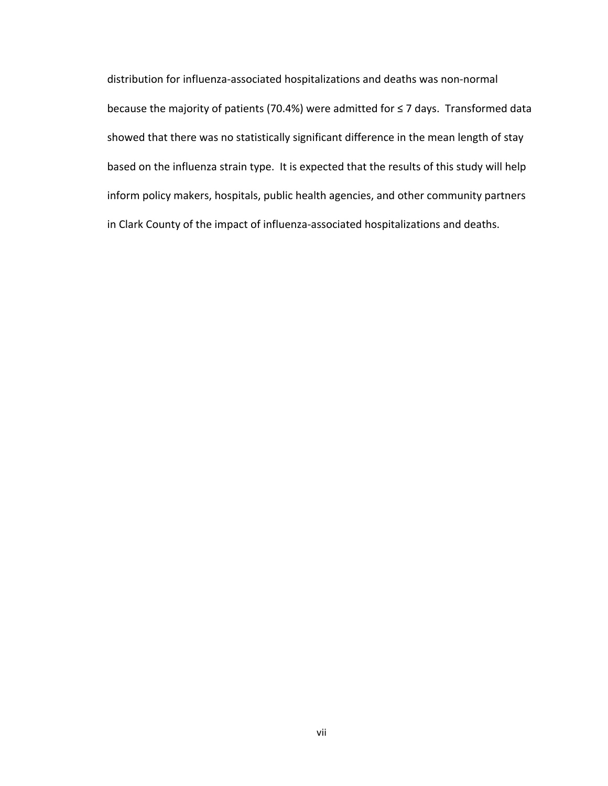distribution
for
influenza‐associated
hospitalizations
and
deaths
was
non‐normal because the majority of patients (70.4%) were admitted for ≤ 7 days. Transformed data showed that there was no statistically significant difference in the mean length of stay based
on
the
influenza
strain
type.

It
is
expected
that
the results
of
this
study will
help inform
policy
makers,
hospitals,
public
health
agencies,
and
other
community
partners in
Clark
County
of
the
impact
of
influenza‐associated
hospitalizations
and
deaths.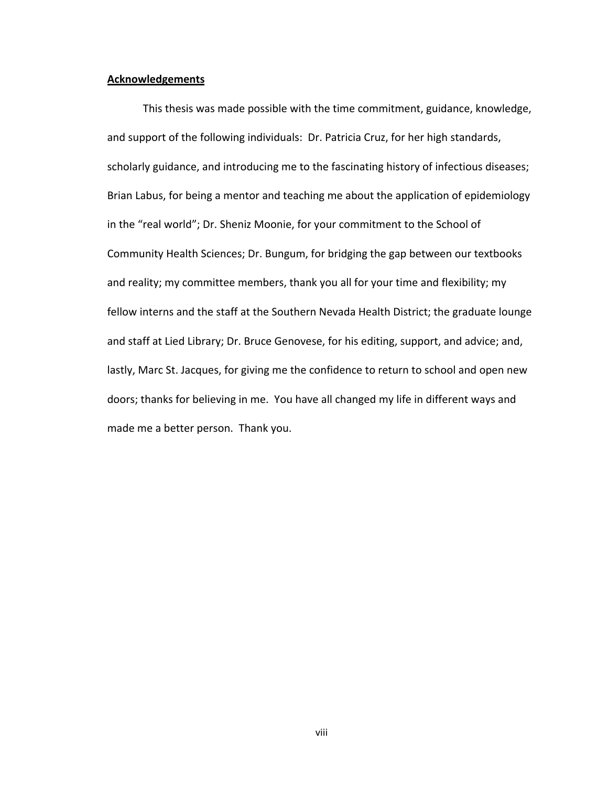#### **Acknowledgements**

This
thesis
was
made
possible
with
the
time
commitment,
guidance,
knowledge, and support of the following individuals: Dr. Patricia Cruz, for her high standards, scholarly guidance, and introducing me to the fascinating history of infectious diseases; Brian Labus, for being a mentor and teaching me about the application of epidemiology in the "real world"; Dr. Sheniz Moonie, for your commitment to the School of Community Health Sciences; Dr. Bungum, for bridging the gap between our textbooks and reality; my committee members, thank you all for your time and flexibility; my fellow interns and the staff at the Southern Nevada Health District; the graduate lounge and staff at Lied Library; Dr. Bruce Genovese, for his editing, support, and advice; and, lastly, Marc St. Jacques, for giving me the confidence to return to school and open new doors; thanks for believing in me. You have all changed my life in different ways and made
me
a
better
person.

Thank
you.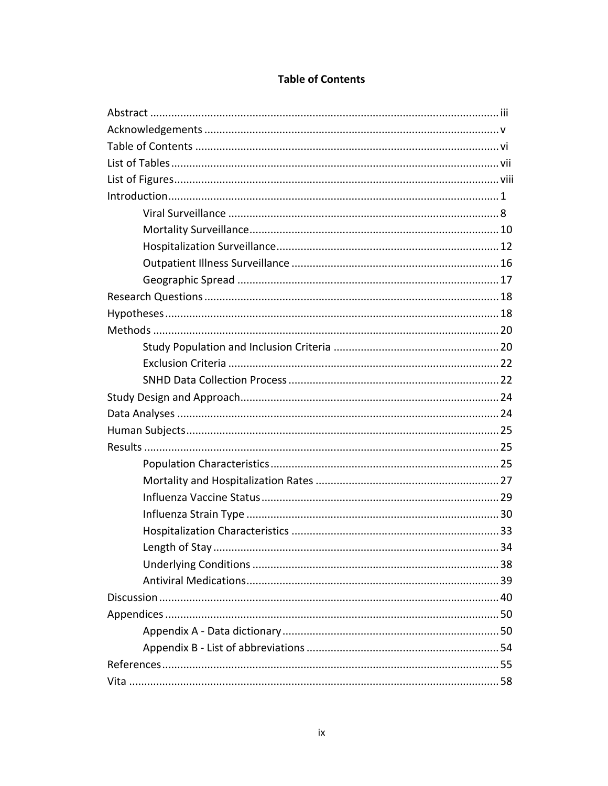| Length of Stay. | 34 |
|-----------------|----|
|                 |    |
|                 |    |
|                 |    |
|                 |    |
|                 |    |
|                 |    |
|                 |    |
|                 |    |

# **Table of Contents**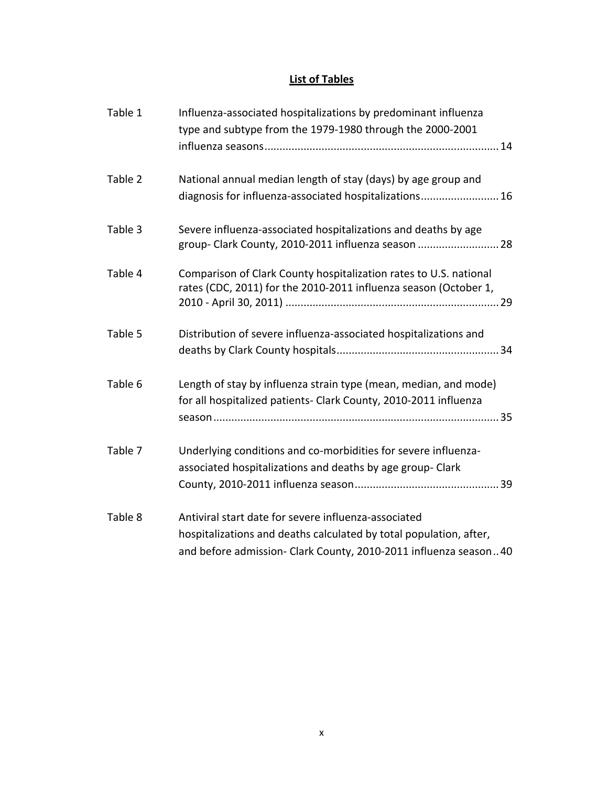# **List
of
Tables**

| Table 1 | Influenza-associated hospitalizations by predominant influenza<br>type and subtype from the 1979-1980 through the 2000-2001                                                                    |
|---------|------------------------------------------------------------------------------------------------------------------------------------------------------------------------------------------------|
| Table 2 | National annual median length of stay (days) by age group and<br>diagnosis for influenza-associated hospitalizations 16                                                                        |
| Table 3 | Severe influenza-associated hospitalizations and deaths by age<br>group- Clark County, 2010-2011 influenza season  28                                                                          |
| Table 4 | Comparison of Clark County hospitalization rates to U.S. national<br>rates (CDC, 2011) for the 2010-2011 influenza season (October 1,                                                          |
| Table 5 | Distribution of severe influenza-associated hospitalizations and                                                                                                                               |
| Table 6 | Length of stay by influenza strain type (mean, median, and mode)<br>for all hospitalized patients- Clark County, 2010-2011 influenza                                                           |
| Table 7 | Underlying conditions and co-morbidities for severe influenza-<br>associated hospitalizations and deaths by age group- Clark                                                                   |
| Table 8 | Antiviral start date for severe influenza-associated<br>hospitalizations and deaths calculated by total population, after,<br>and before admission- Clark County, 2010-2011 influenza season40 |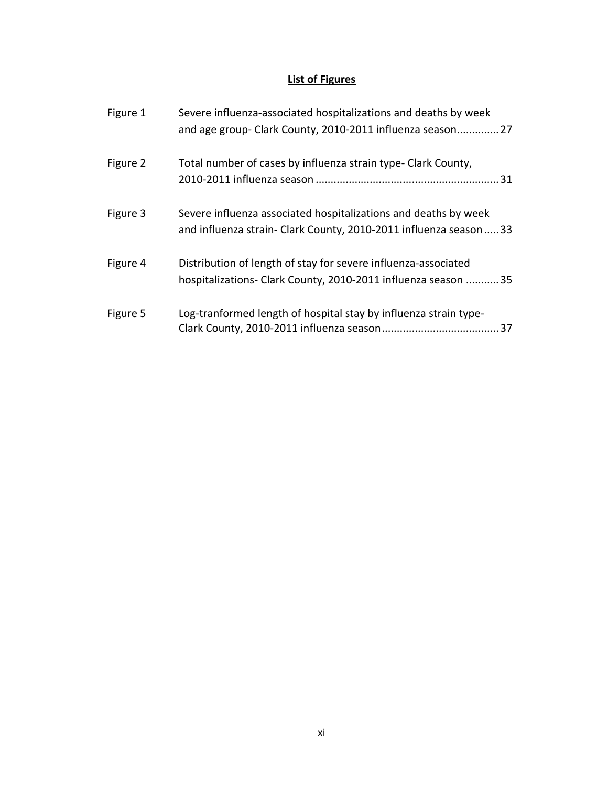# **List
of
Figures**

| Figure 1 | Severe influenza-associated hospitalizations and deaths by week<br>and age group- Clark County, 2010-2011 influenza season 27       |
|----------|-------------------------------------------------------------------------------------------------------------------------------------|
| Figure 2 | Total number of cases by influenza strain type- Clark County,                                                                       |
| Figure 3 | Severe influenza associated hospitalizations and deaths by week<br>and influenza strain- Clark County, 2010-2011 influenza season33 |
| Figure 4 | Distribution of length of stay for severe influenza-associated<br>hospitalizations- Clark County, 2010-2011 influenza season  35    |
| Figure 5 | Log-tranformed length of hospital stay by influenza strain type-                                                                    |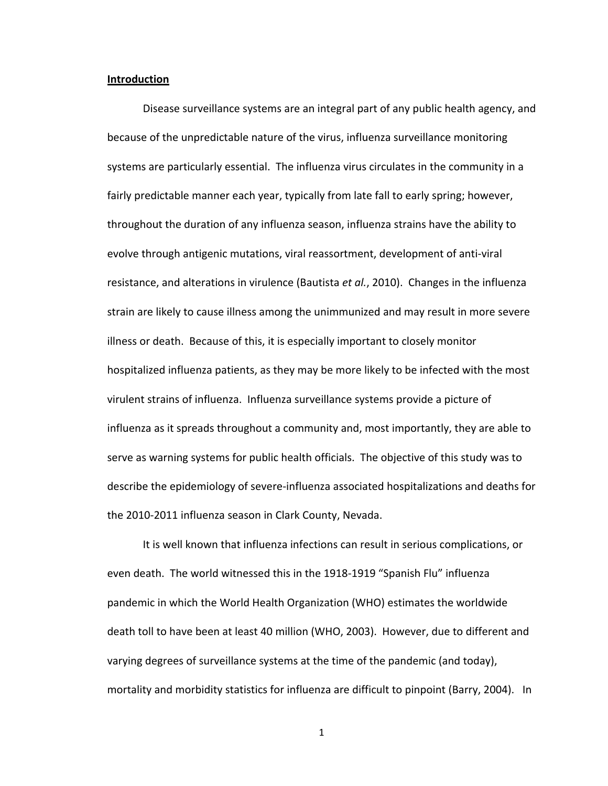#### **Introduction**

Disease surveillance systems are an integral part of any public health agency, and because
of
the
unpredictable
nature
of
the
virus,
influenza
surveillance
monitoring systems are particularly essential. The influenza virus circulates in the community in a fairly predictable manner each year, typically from late fall to early spring; however, throughout the duration of any influenza season, influenza strains have the ability to evolve
through
antigenic
mutations,
viral
reassortment,
development
of
anti‐viral resistance, and alterations in virulence (Bautista et al., 2010). Changes in the influenza strain are likely to cause illness among the unimmunized and may result in more severe illness or death. Because of this, it is especially important to closely monitor hospitalized influenza patients, as they may be more likely to be infected with the most virulent strains of influenza. Influenza surveillance systems provide a picture of influenza as it spreads throughout a community and, most importantly, they are able to serve as warning systems for public health officials. The objective of this study was to describe the epidemiology of severe-influenza associated hospitalizations and deaths for the
2010‐2011
influenza
season
in
Clark
County,
Nevada.

It is well known that influenza infections can result in serious complications, or even death. The world witnessed this in the 1918-1919 "Spanish Flu" influenza pandemic
in
which
the
World
Health
Organization
(WHO)
estimates
the
worldwide death toll to have been at least 40 million (WHO, 2003). However, due to different and varying degrees of surveillance systems at the time of the pandemic (and today), mortality and morbidity statistics for influenza are difficult to pinpoint (Barry, 2004). In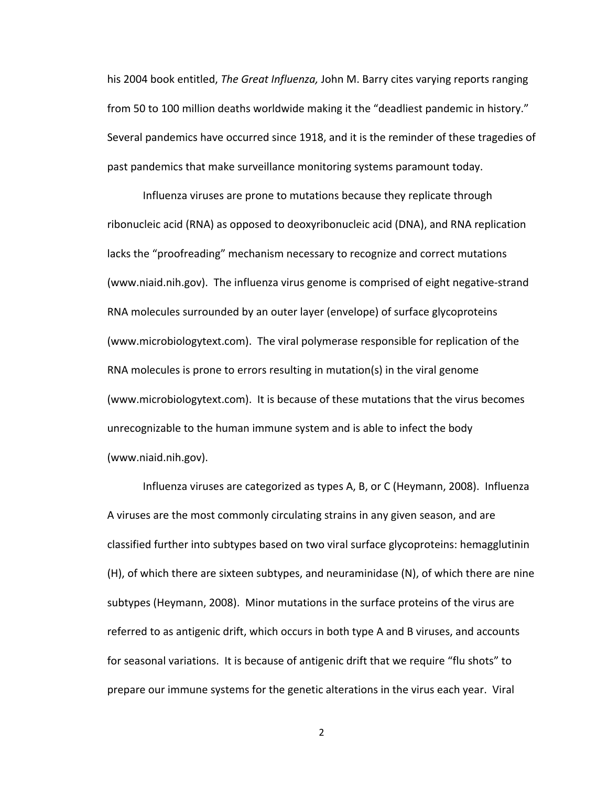his 2004 book entitled, *The Great Influenza*, John M. Barry cites varying reports ranging from 50 to 100 million deaths worldwide making it the "deadliest pandemic in history." Several pandemics have occurred since 1918, and it is the reminder of these tragedies of past pandemics that make surveillance monitoring systems paramount today.

Influenza viruses are prone to mutations because they replicate through ribonucleic
acid
(RNA)
as
opposed
to
deoxyribonucleic
acid
(DNA),
and
RNA
replication lacks the "proofreading" mechanism necessary to recognize and correct mutations (www.niaid.nih.gov).

The
influenza
virus
genome
is
comprised
of
eight
negative‐strand RNA molecules surrounded by an outer layer (envelope) of surface glycoproteins (www.microbiologytext.com).

The
viral
polymerase
responsible
for
replication
of
the RNA molecules is prone to errors resulting in mutation(s) in the viral genome (www.microbiologytext.com).

It
is
because
of
these
mutations
that
the
virus
becomes unrecognizable to the human immune system and is able to infect the body (www.niaid.nih.gov).

Influenza
viruses
are
categorized
as
types
A,
B,
or
C
(Heymann,
2008).

Influenza A viruses are the most commonly circulating strains in any given season, and are classified
further
into
subtypes
based
on
two
viral
surface
glycoproteins:
hemagglutinin (H),
of
which
there
are
sixteen
subtypes,
and
neuraminidase
(N),
of
which
there
are
nine subtypes
(Heymann,
2008).

Minor
mutations
in
the
surface
proteins
of
the
virus
are referred to as antigenic drift, which occurs in both type A and B viruses, and accounts for seasonal variations. It is because of antigenic drift that we require "flu shots" to prepare our immune systems for the genetic alterations in the virus each year. Viral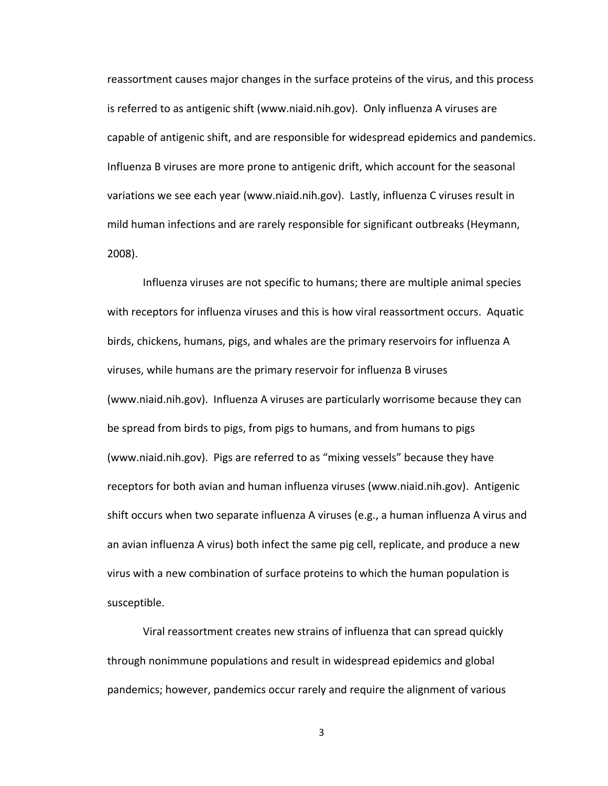reassortment causes major changes in the surface proteins of the virus, and this process is referred to as antigenic shift (www.niaid.nih.gov). Only influenza A viruses are capable of antigenic shift, and are responsible for widespread epidemics and pandemics. Influenza B viruses are more prone to antigenic drift, which account for the seasonal variations we see each year (www.niaid.nih.gov). Lastly, influenza C viruses result in mild
human
infections
and
are
rarely
responsible
for
significant
outbreaks
(Heymann, 2008).

Influenza viruses are not specific to humans; there are multiple animal species with receptors for influenza viruses and this is how viral reassortment occurs. Aquatic birds, chickens, humans, pigs, and whales are the primary reservoirs for influenza A viruses, while humans are the primary reservoir for influenza B viruses (www.niaid.nih.gov). Influenza A viruses are particularly worrisome because they can be spread from birds to pigs, from pigs to humans, and from humans to pigs (www.niaid.nih.gov). Pigs are referred to as "mixing vessels" because they have receptors for both avian and human influenza viruses (www.niaid.nih.gov). Antigenic shift occurs when two separate influenza A viruses (e.g., a human influenza A virus and an avian influenza A virus) both infect the same pig cell, replicate, and produce a new virus with a new combination of surface proteins to which the human population is susceptible.

Viral
reassortment
creates
new
strains
of
influenza
that
can
spread
quickly through nonimmune populations and result in widespread epidemics and global pandemics; however, pandemics occur rarely and require the alignment of various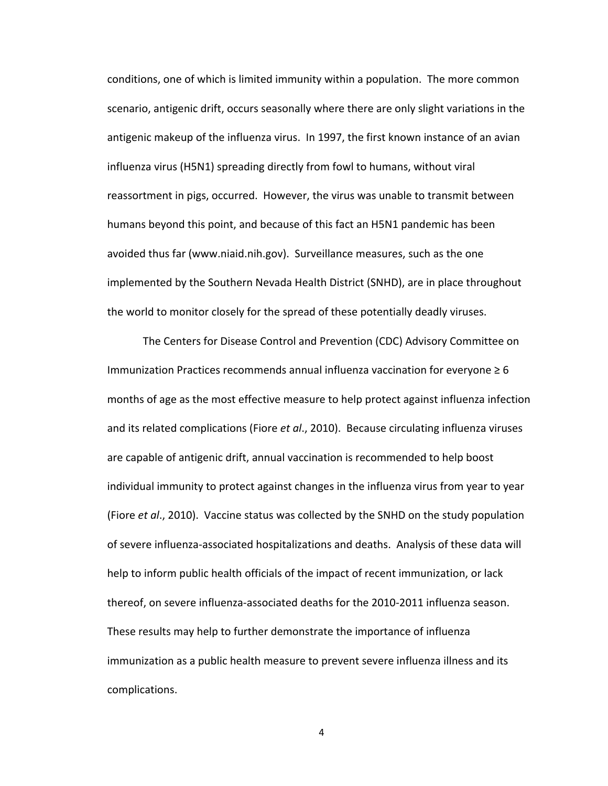conditions,
one
of
which
is
limited
immunity
within
a
population.

The
more
common scenario, antigenic drift, occurs seasonally where there are only slight variations in the antigenic makeup of the influenza virus. In 1997, the first known instance of an avian influenza
virus
(H5N1)
spreading
directly
from
fowl
to
humans,
without
viral reassortment in pigs, occurred. However, the virus was unable to transmit between humans beyond this point, and because of this fact an H5N1 pandemic has been avoided
thus
far
(www.niaid.nih.gov).

Surveillance
measures,
such
as
the
one implemented
by
the
Southern
Nevada
Health
District
(SNHD),
are
in
place
throughout the world to monitor closely for the spread of these potentially deadly viruses.

The
Centers
for
Disease
Control
and
Prevention
(CDC)
Advisory
Committee
on Immunization Practices recommends annual influenza vaccination for everyone ≥ 6 months of age as the most effective measure to help protect against influenza infection and its related complications (Fiore et al., 2010). Because circulating influenza viruses are
capable
of
antigenic
drift,
annual
vaccination
is
recommended
to
help
boost individual immunity to protect against changes in the influenza virus from year to year (Fiore *et al.*, 2010). Vaccine status was collected by the SNHD on the study population of severe influenza-associated hospitalizations and deaths. Analysis of these data will help to inform public health officials of the impact of recent immunization, or lack thereof,
on
severe
influenza‐associated
deaths
for
the
2010‐2011
influenza
season. These results may help to further demonstrate the importance of influenza immunization as a public health measure to prevent severe influenza illness and its complications.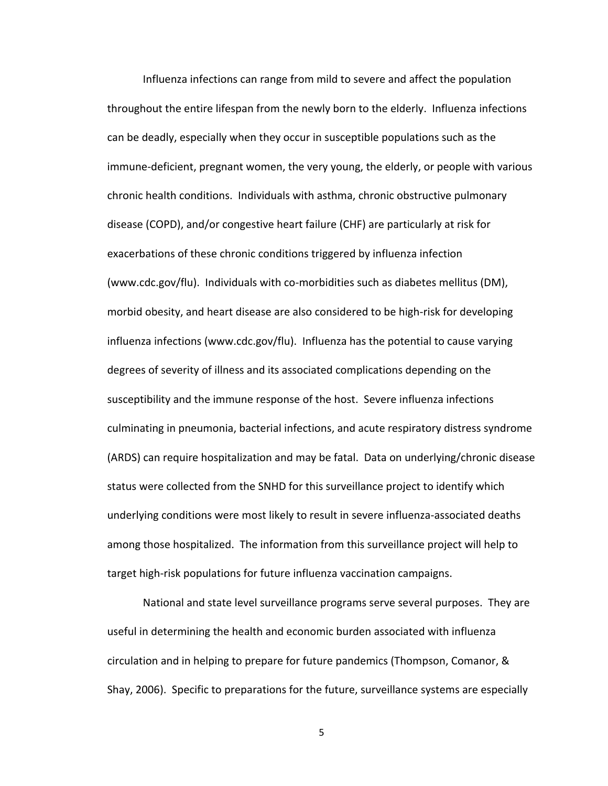Influenza infections can range from mild to severe and affect the population throughout the entire lifespan from the newly born to the elderly. Influenza infections can be deadly, especially when they occur in susceptible populations such as the immune-deficient, pregnant women, the very young, the elderly, or people with various chronic health conditions. Individuals with asthma, chronic obstructive pulmonary disease
(COPD),
and/or
congestive
heart
failure
(CHF)
are
particularly
at
risk
for exacerbations
of
these
chronic
conditions
triggered
by
influenza
infection (www.cdc.gov/flu).

Individuals
with
co‐morbidities
such
as
diabetes
mellitus
(DM), morbid
obesity,
and
heart
disease
are
also
considered
to
be
high‐risk
for
developing influenza infections (www.cdc.gov/flu). Influenza has the potential to cause varying degrees of severity of illness and its associated complications depending on the susceptibility and the immune response of the host. Severe influenza infections culminating in pneumonia, bacterial infections, and acute respiratory distress syndrome (ARDS)
can
require
hospitalization
and
may
be
fatal.

Data
on
underlying/chronic
disease status were collected from the SNHD for this surveillance project to identify which underlying conditions were most likely to result in severe influenza-associated deaths among those hospitalized. The information from this surveillance project will help to target high-risk populations for future influenza vaccination campaigns.

National and state level surveillance programs serve several purposes. They are useful in determining the health and economic burden associated with influenza circulation and in helping to prepare for future pandemics (Thompson, Comanor, & Shay, 2006). Specific to preparations for the future, surveillance systems are especially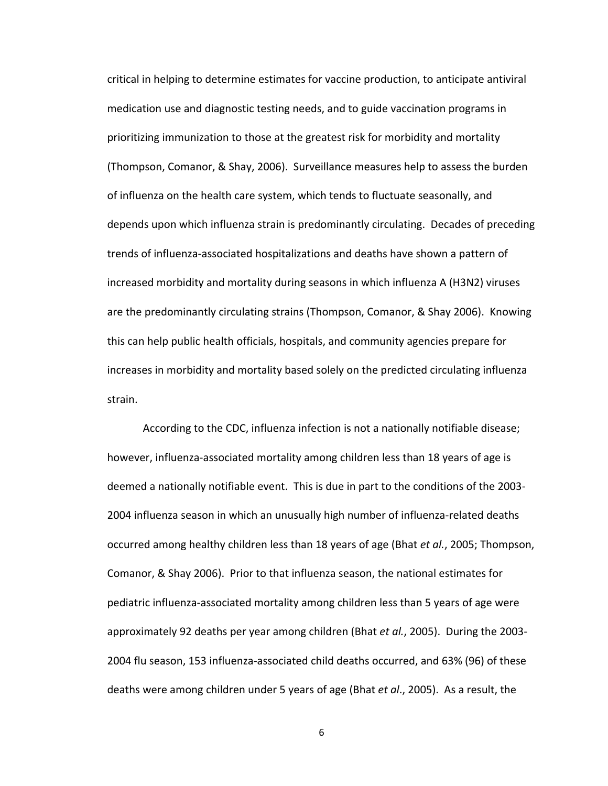critical
in
helping
to
determine
estimates
for
vaccine
production,
to
anticipate
antiviral medication use and diagnostic testing needs, and to guide vaccination programs in prioritizing immunization to those at the greatest risk for morbidity and mortality (Thompson,
Comanor,
&
Shay,
2006).

Surveillance
measures
help
to
assess
the
burden of influenza on the health care system, which tends to fluctuate seasonally, and depends upon which influenza strain is predominantly circulating. Decades of preceding trends
of
influenza‐associated
hospitalizations
and
deaths
have
shown
a
pattern
of increased morbidity and mortality during seasons in which influenza A (H3N2) viruses are the predominantly circulating strains (Thompson, Comanor, & Shay 2006). Knowing this can help public health officials, hospitals, and community agencies prepare for increases in morbidity and mortality based solely on the predicted circulating influenza strain.

According to the CDC, influenza infection is not a nationally notifiable disease; however, influenza-associated mortality among children less than 18 years of age is deemed a nationally notifiable event. This is due in part to the conditions of the 2003-2004
influenza
season
in
which
an
unusually
high
number
of
influenza‐related
deaths occurred among healthy children less than 18 years of age (Bhat *et al.*, 2005; Thompson, Comanor, & Shay 2006). Prior to that influenza season, the national estimates for pediatric
influenza‐associated
mortality
among
children
less
than
5
years
of
age
were approximately 92 deaths per year among children (Bhat et al., 2005). During the 2003-2004
flu
season,
153
influenza‐associated
child
deaths
occurred,
and
63%
(96)
of
these deaths were among children under 5 years of age (Bhat et al., 2005). As a result, the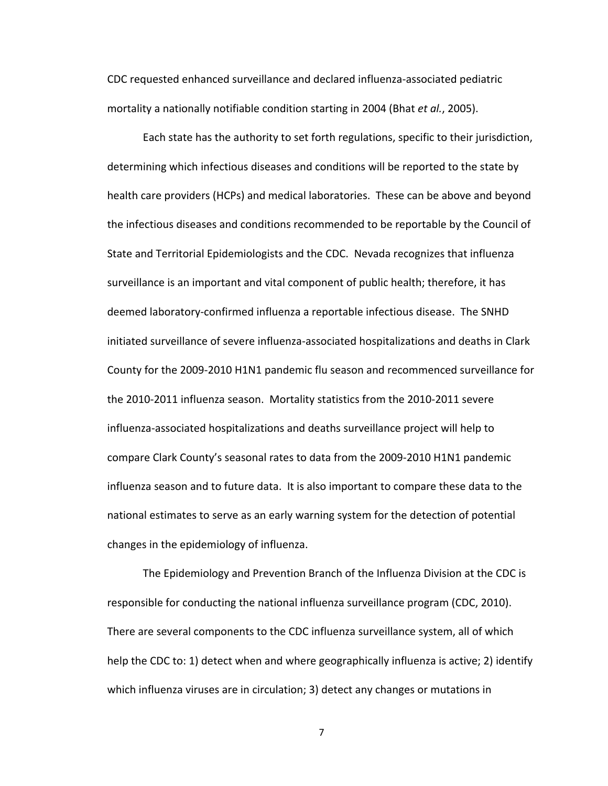CDC
requested
enhanced
surveillance
and
declared
influenza‐associated
pediatric mortality a nationally notifiable condition starting in 2004 (Bhat et al., 2005).

Each
state
has
the
authority
to
set
forth
regulations,
specific
to
their
jurisdiction, determining which infectious diseases and conditions will be reported to the state by health care providers (HCPs) and medical laboratories. These can be above and beyond the infectious diseases and conditions recommended to be reportable by the Council of State and Territorial Epidemiologists and the CDC. Nevada recognizes that influenza surveillance is an important and vital component of public health; therefore, it has deemed laboratory-confirmed influenza a reportable infectious disease. The SNHD initiated surveillance of severe influenza-associated hospitalizations and deaths in Clark County for the 2009-2010 H1N1 pandemic flu season and recommenced surveillance for the
2010‐2011
influenza
season. Mortality
statistics
from
the
2010‐2011
severe influenza‐associated
hospitalizations
and
deaths
surveillance
project
will
help
to compare
Clark
County's
seasonal
rates
to
data
from
the
2009‐2010
H1N1
pandemic influenza season and to future data. It is also important to compare these data to the national estimates to serve as an early warning system for the detection of potential changes
in
the
epidemiology
of
influenza.

The Epidemiology and Prevention Branch of the Influenza Division at the CDC is responsible for conducting the national influenza surveillance program (CDC, 2010). There are several components to the CDC influenza surveillance system, all of which help the CDC to: 1) detect when and where geographically influenza is active; 2) identify which influenza viruses are in circulation; 3) detect any changes or mutations in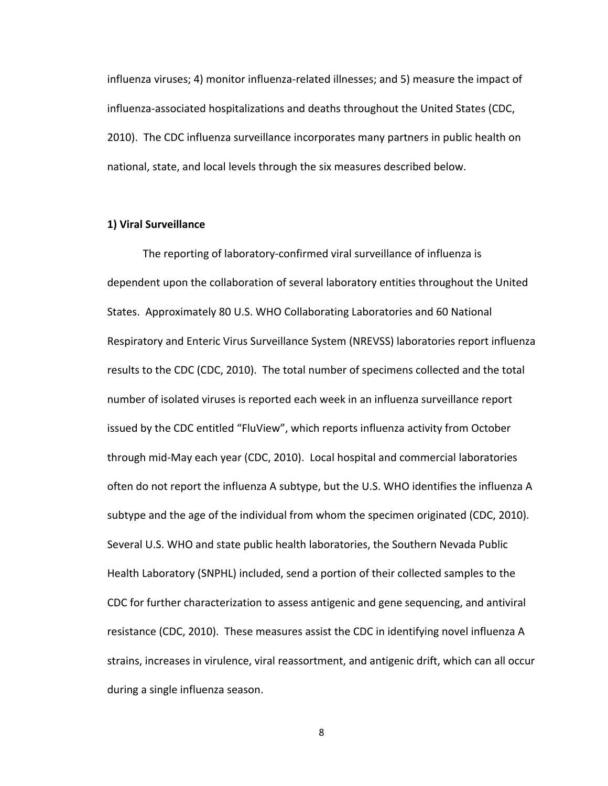influenza viruses; 4) monitor influenza-related illnesses; and 5) measure the impact of influenza-associated hospitalizations and deaths throughout the United States (CDC, 2010). The CDC influenza surveillance incorporates many partners in public health on national,
state,
and
local
levels
through
the
six
measures
described
below.

#### **1)
Viral
Surveillance**

The
reporting
of
laboratory‐confirmed
viral
surveillance
of
influenza
is dependent upon the collaboration of several laboratory entities throughout the United States. Approximately 80 U.S. WHO Collaborating Laboratories and 60 National Respiratory and Enteric Virus Surveillance System (NREVSS) laboratories report influenza results to the CDC (CDC, 2010). The total number of specimens collected and the total number
of
isolated
viruses
is
reported
each
week
in
an
influenza
surveillance
report issued by the CDC entitled "FluView", which reports influenza activity from October through
mid‐May
each
year
(CDC,
2010).

Local
hospital
and
commercial
laboratories often do not report the influenza A subtype, but the U.S. WHO identifies the influenza A subtype and the age of the individual from whom the specimen originated (CDC, 2010). Several U.S. WHO and state public health laboratories, the Southern Nevada Public Health Laboratory (SNPHL) included, send a portion of their collected samples to the CDC
for
further
characterization
to
assess
antigenic
and
gene
sequencing,
and
antiviral resistance (CDC, 2010). These measures assist the CDC in identifying novel influenza A strains, increases in virulence, viral reassortment, and antigenic drift, which can all occur during
a
single
influenza
season.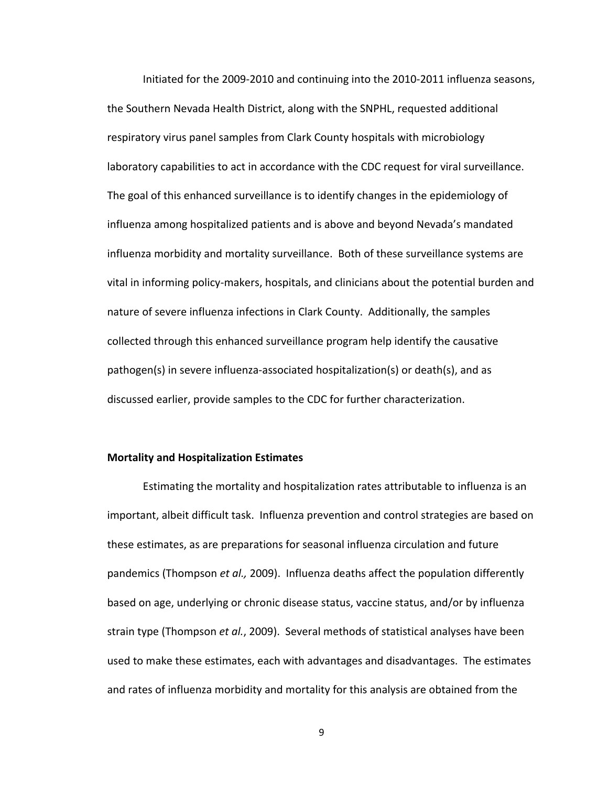Initiated for the 2009-2010 and continuing into the 2010-2011 influenza seasons, the Southern Nevada Health District, along with the SNPHL, requested additional respiratory virus panel samples from Clark County hospitals with microbiology laboratory capabilities to act in accordance with the CDC request for viral surveillance. The goal of this enhanced surveillance is to identify changes in the epidemiology of influenza
among
hospitalized
patients
and
is
above
and
beyond
Nevada's
mandated influenza morbidity and mortality surveillance. Both of these surveillance systems are vital in informing policy-makers, hospitals, and clinicians about the potential burden and nature of severe influenza infections in Clark County. Additionally, the samples collected
through
this
enhanced
surveillance
program
help
identify
the
causative pathogen(s)
in
severe
influenza‐associated
hospitalization(s)
or
death(s),
and
as discussed earlier, provide samples to the CDC for further characterization.

#### **Mortality
and
Hospitalization
Estimates**

Estimating the mortality and hospitalization rates attributable to influenza is an important, albeit difficult task. Influenza prevention and control strategies are based on these
estimates,
as
are
preparations
for
seasonal
influenza
circulation
and
future pandemics (Thompson et al., 2009). Influenza deaths affect the population differently based
on
age,
underlying
or
chronic
disease
status,
vaccine
status,
and/or
by
influenza strain type (Thompson *et al.*, 2009). Several methods of statistical analyses have been used to make these estimates, each with advantages and disadvantages. The estimates and rates of influenza morbidity and mortality for this analysis are obtained from the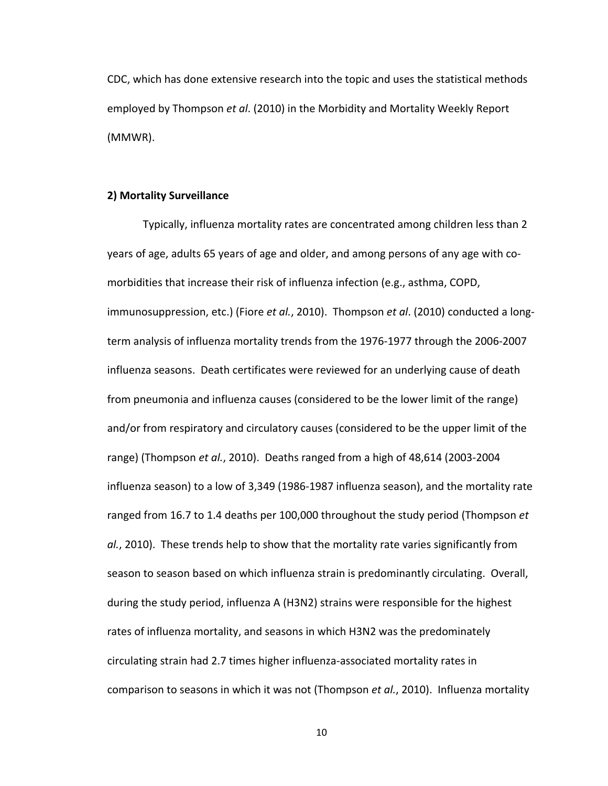CDC,
which
has
done
extensive
research
into
the
topic
and
uses
the
statistical
methods employed by Thompson et al. (2010) in the Morbidity and Mortality Weekly Report (MMWR).

#### **2)
Mortality
Surveillance**

Typically,
influenza
mortality
rates
are
concentrated
among
children
less
than
2 years of age, adults 65 years of age and older, and among persons of any age with comorbidities that increase their risk of influenza infection (e.g., asthma, COPD, immunosuppression, etc.) (Fiore *et al.*, 2010). Thompson *et al.* (2010) conducted a longterm analysis of influenza mortality trends from the 1976-1977 through the 2006-2007 influenza
seasons.

Death
certificates
were
reviewed
for
an
underlying
cause
of
death from pneumonia and influenza causes (considered to be the lower limit of the range) and/or from respiratory and circulatory causes (considered to be the upper limit of the range) (Thompson et al., 2010). Deaths ranged from a high of 48,614 (2003-2004 influenza season) to a low of 3,349 (1986-1987 influenza season), and the mortality rate ranged from 16.7 to 1.4 deaths per 100,000 throughout the study period (Thompson *et*) al., 2010). These trends help to show that the mortality rate varies significantly from season to season based on which influenza strain is predominantly circulating. Overall, during
the
study
period,
influenza
A
(H3N2)
strains
were
responsible
for
the
highest rates of influenza mortality, and seasons in which H3N2 was the predominately circulating
strain
had
2.7
times
higher
influenza‐associated
mortality
rates
in comparison to seasons in which it was not (Thompson et al., 2010). Influenza mortality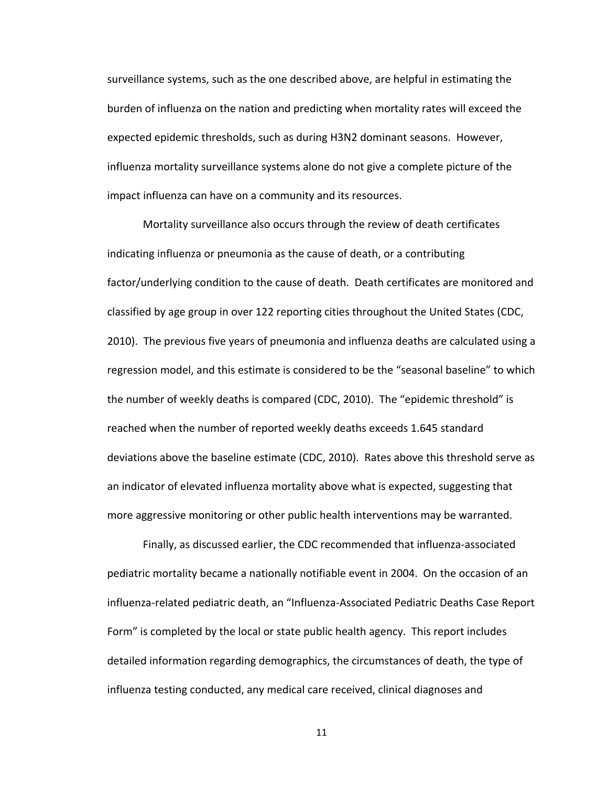surveillance systems, such as the one described above, are helpful in estimating the burden of influenza on the nation and predicting when mortality rates will exceed the expected
epidemic
thresholds,
such
as
during
H3N2
dominant
seasons. However, influenza mortality surveillance systems alone do not give a complete picture of the impact influenza can have on a community and its resources.

Mortality surveillance also occurs through the review of death certificates indicating influenza or pneumonia as the cause of death, or a contributing factor/underlying condition to the cause of death. Death certificates are monitored and classified by age group in over 122 reporting cities throughout the United States (CDC, 2010). The previous five years of pneumonia and influenza deaths are calculated using a regression model, and this estimate is considered to be the "seasonal baseline" to which the number of weekly deaths is compared (CDC, 2010). The "epidemic threshold" is reached when the number of reported weekly deaths exceeds 1.645 standard deviations above the baseline estimate (CDC, 2010). Rates above this threshold serve as an indicator of elevated influenza mortality above what is expected, suggesting that more aggressive monitoring or other public health interventions may be warranted.

Finally,
as
discussed
earlier,
the
CDC
recommended
that
influenza‐associated pediatric mortality became a nationally notifiable event in 2004. On the occasion of an influenza-related pediatric death, an "Influenza-Associated Pediatric Deaths Case Report Form" is completed by the local or state public health agency. This report includes detailed information regarding demographics, the circumstances of death, the type of influenza
testing
conducted,
any
medical
care
received,
clinical
diagnoses
and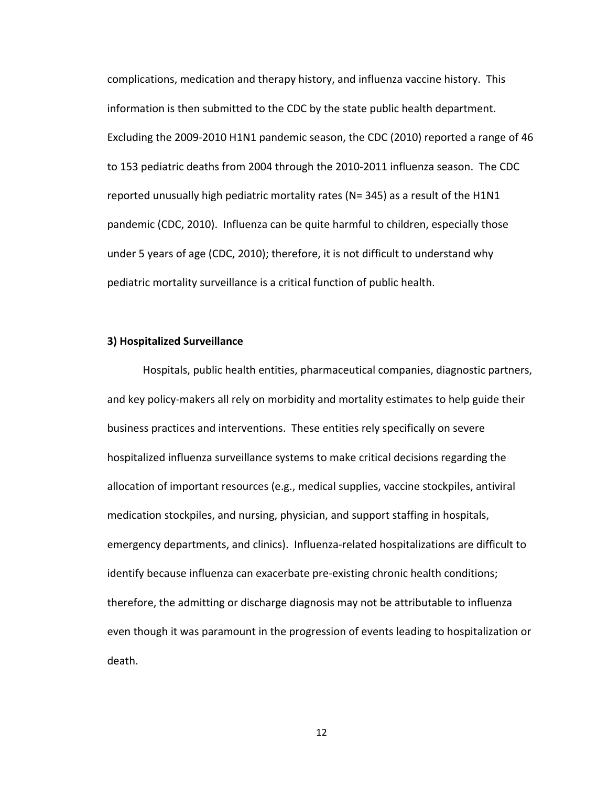complications, medication and therapy history, and influenza vaccine history. This information is then submitted to the CDC by the state public health department. Excluding the 2009-2010 H1N1 pandemic season, the CDC (2010) reported a range of 46 to 153 pediatric deaths from 2004 through the 2010-2011 influenza season. The CDC reported unusually high pediatric mortality rates (N= 345) as a result of the H1N1 pandemic
(CDC,
2010).

Influenza
can
be
quite
harmful
to
children,
especially
those under 5 years of age (CDC, 2010); therefore, it is not difficult to understand why pediatric
mortality
surveillance
is
a
critical
function
of
public
health.

#### **3)
Hospitalized
Surveillance**

Hospitals, public health entities, pharmaceutical companies, diagnostic partners, and key policy-makers all rely on morbidity and mortality estimates to help guide their business
practices
and
interventions.

These
entities
rely
specifically
on
severe hospitalized influenza surveillance systems to make critical decisions regarding the allocation of important resources (e.g., medical supplies, vaccine stockpiles, antiviral medication
stockpiles,
and
nursing,
physician,
and
support
staffing
in
hospitals, emergency departments, and clinics). Influenza-related hospitalizations are difficult to identify because influenza can exacerbate pre-existing chronic health conditions; therefore, the admitting or discharge diagnosis may not be attributable to influenza even though it was paramount in the progression of events leading to hospitalization or death.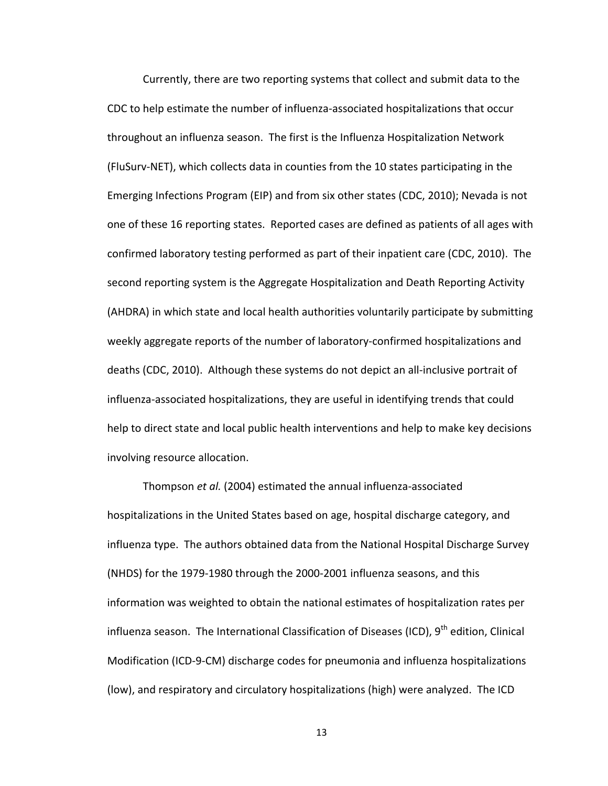Currently, there are two reporting systems that collect and submit data to the CDC to help estimate the number of influenza-associated hospitalizations that occur throughout an influenza season. The first is the Influenza Hospitalization Network (FluSurv-NET), which collects data in counties from the 10 states participating in the Emerging
Infections
Program
(EIP)
and
from
six
other
states
(CDC,
2010);
Nevada
is
not one
of
these
16
reporting
states.

Reported
cases
are
defined
as
patients
of
all
ages
with confirmed
laboratory
testing
performed
as
part
of
their
inpatient
care
(CDC,
2010).

The second reporting system is the Aggregate Hospitalization and Death Reporting Activity (AHDRA) in which state and local health authorities voluntarily participate by submitting weekly aggregate reports of the number of laboratory-confirmed hospitalizations and deaths (CDC, 2010). Although these systems do not depict an all-inclusive portrait of influenza-associated hospitalizations, they are useful in identifying trends that could help to direct state and local public health interventions and help to make key decisions involving
resource
allocation.

Thompson *et
al.*(2004)
estimated
the
annual
influenza‐associated hospitalizations in the United States based on age, hospital discharge category, and influenza type. The authors obtained data from the National Hospital Discharge Survey (NHDS)
for
the
1979‐1980
through
the
2000‐2001
influenza
seasons,
and
this information was weighted to obtain the national estimates of hospitalization rates per influenza season. The International Classification of Diseases (ICD), 9<sup>th</sup> edition, Clinical Modification
(ICD‐9‐CM)
discharge
codes
for
pneumonia
and
influenza
hospitalizations (low), and respiratory and circulatory hospitalizations (high) were analyzed. The ICD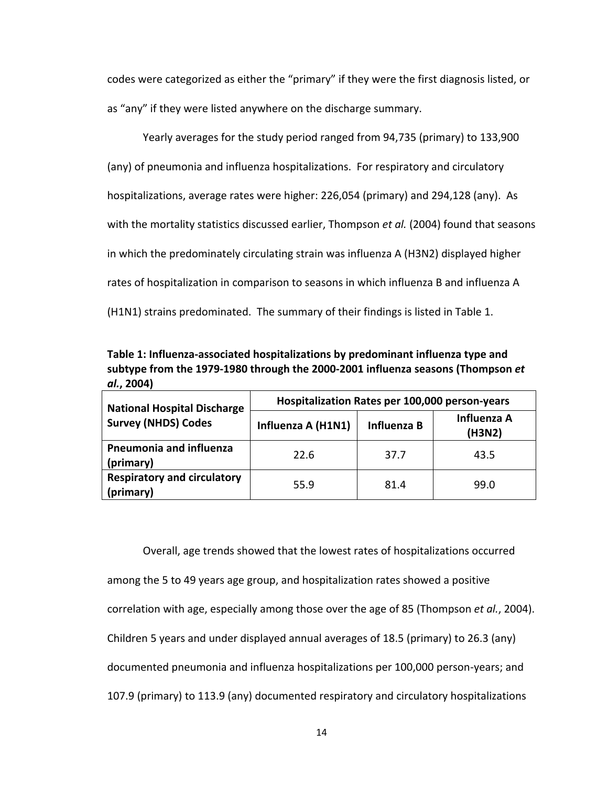codes were categorized as either the "primary" if they were the first diagnosis listed, or as "any" if they were listed anywhere on the discharge summary.

Yearly averages for the study period ranged from 94,735 (primary) to 133,900 (any)
of
pneumonia
and
influenza
hospitalizations.

For
respiratory
and
circulatory hospitalizations, average rates were higher: 226,054 (primary) and 294,128 (any). As with the mortality statistics discussed earlier, Thompson et al. (2004) found that seasons in
which
the
predominately
circulating
strain
was
influenza
A
(H3N2)
displayed
higher rates of hospitalization in comparison to seasons in which influenza B and influenza A (H1N1) strains predominated. The summary of their findings is listed in Table 1.

Table 1: Influenza-associated hospitalizations by predominant influenza type and subtype from the 1979-1980 through the 2000-2001 influenza seasons (Thompson et *al.***,
2004)**

| <b>National Hospital Discharge</b>              | Hospitalization Rates per 100,000 person-years |             |                       |  |  |  |
|-------------------------------------------------|------------------------------------------------|-------------|-----------------------|--|--|--|
| <b>Survey (NHDS) Codes</b>                      | Influenza A (H1N1)                             | Influenza B | Influenza A<br>(H3N2) |  |  |  |
| Pneumonia and influenza<br>(primary)            | 22.6                                           | 37.7        | 43.5                  |  |  |  |
| <b>Respiratory and circulatory</b><br>(primary) | 55.9                                           | 81.4        | 99.0                  |  |  |  |

Overall, age trends showed that the lowest rates of hospitalizations occurred among the 5 to 49 years age group, and hospitalization rates showed a positive correlation with age, especially among those over the age of 85 (Thompson et al., 2004). Children 5 years and under displayed annual averages of 18.5 (primary) to 26.3 (any) documented pneumonia and influenza hospitalizations per 100,000 person-years; and 107.9 (primary) to 113.9 (any) documented respiratory and circulatory hospitalizations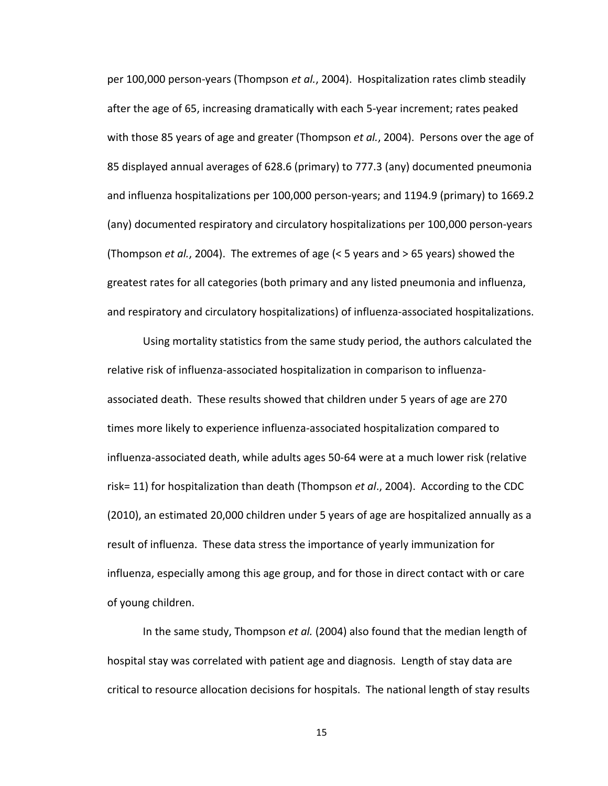per 100,000 person-years (Thompson et al., 2004). Hospitalization rates climb steadily after the age of 65, increasing dramatically with each 5-year increment; rates peaked with those 85 years of age and greater (Thompson *et al.*, 2004). Persons over the age of 85 displayed annual averages of 628.6 (primary) to 777.3 (any) documented pneumonia and influenza hospitalizations per 100,000 person-years; and 1194.9 (primary) to 1669.2 (any)
documented
respiratory
and
circulatory
hospitalizations
per
100,000
person‐years (Thompson *et
al.*,
2004).

The
extremes
of
age
(<
5
years
and
>
65
years)
showed
the greatest rates for all categories (both primary and any listed pneumonia and influenza, and respiratory and circulatory hospitalizations) of influenza-associated hospitalizations.

Using mortality statistics from the same study period, the authors calculated the relative risk of influenza-associated hospitalization in comparison to influenzaassociated death. These results showed that children under 5 years of age are 270 times
more
likely
to
experience
influenza‐associated
hospitalization
compared
to influenza-associated death, while adults ages 50-64 were at a much lower risk (relative risk= 11) for hospitalization than death (Thompson *et al.*, 2004). According to the CDC (2010), an estimated 20,000 children under 5 years of age are hospitalized annually as a result of influenza. These data stress the importance of yearly immunization for influenza, especially among this age group, and for those in direct contact with or care of
young
children.

In the same study, Thompson *et al.* (2004) also found that the median length of hospital stay was correlated with patient age and diagnosis. Length of stay data are critical to resource allocation decisions for hospitals. The national length of stay results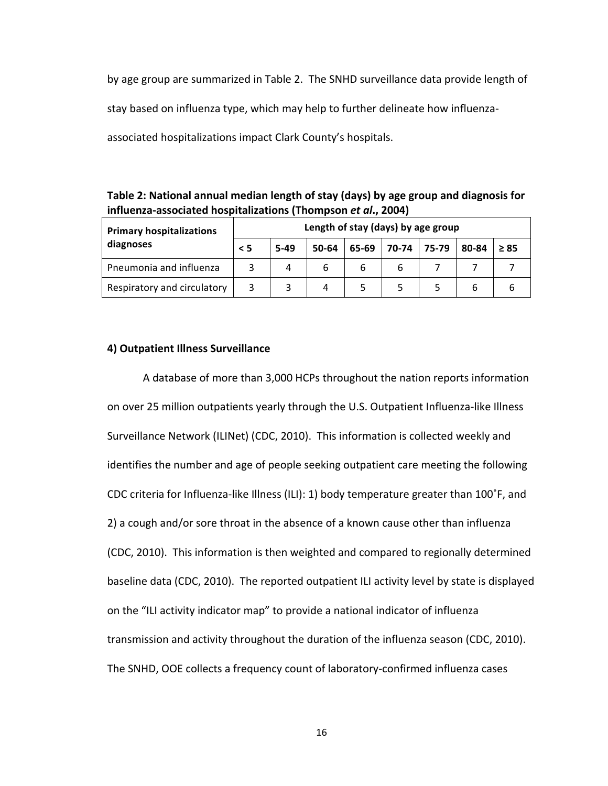by age group are summarized in Table 2. The SNHD surveillance data provide length of stay based on influenza type, which may help to further delineate how influenzaassociated
hospitalizations
impact
Clark
County's
hospitals.

Table 2: National annual median length of stay (days) by age group and diagnosis for **influenza‐associated
hospitalizations
(Thompson** *et
al***.,
2004)**

| <b>Primary hospitalizations</b> | Length of stay (days) by age group |        |       |       |       |       |       |           |
|---------------------------------|------------------------------------|--------|-------|-------|-------|-------|-------|-----------|
| diagnoses                       | $\leq$ 5                           | $5-49$ | 50-64 | 65-69 | 70-74 | 75-79 | 80-84 | $\geq 85$ |
| Pneumonia and influenza         |                                    |        |       | 6     |       |       |       |           |
| Respiratory and circulatory     |                                    |        |       |       |       |       |       |           |

#### **4)
Outpatient
Illness
Surveillance**

A
database
of
more
than
3,000
HCPs
throughout
the
nation
reports
information on over 25 million outpatients yearly through the U.S. Outpatient Influenza-like Illness Surveillance Network (ILINet) (CDC, 2010). This information is collected weekly and identifies the number and age of people seeking outpatient care meeting the following CDC criteria for Influenza-like Illness (ILI): 1) body temperature greater than 100°F, and 2) a cough and/or sore throat in the absence of a known cause other than influenza (CDC,
2010).

This
information
is
then
weighted
and
compared
to
regionally
determined baseline data (CDC, 2010). The reported outpatient ILI activity level by state is displayed on the "ILI activity indicator map" to provide a national indicator of influenza transmission
and
activity
throughout
the
duration
of
the
influenza
season
(CDC,
2010). The SNHD, OOE collects a frequency count of laboratory-confirmed influenza cases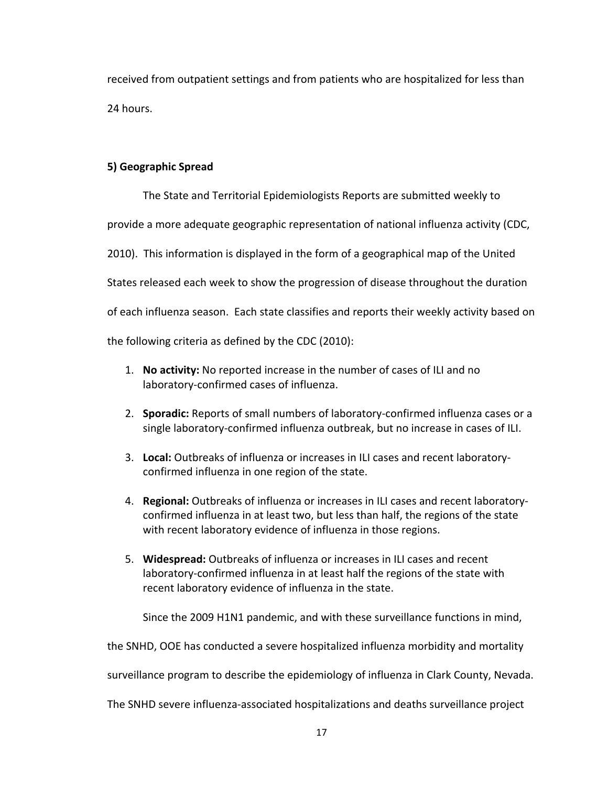received from outpatient settings and from patients who are hospitalized for less than 24
hours.

## **5)
Geographic
Spread**

The
State
and
Territorial
Epidemiologists
Reports
are
submitted
weekly
to provide
a
more
adequate
geographic
representation
of
national
influenza
activity
(CDC, 2010). This information is displayed in the form of a geographical map of the United States released each week to show the progression of disease throughout the duration of each influenza season. Each state classifies and reports their weekly activity based on the
following
criteria
as
defined
by
the
CDC
(2010):

- 1. No activity: No reported increase in the number of cases of ILI and no laboratory‐confirmed
cases
of
influenza.
- 2. **Sporadic:** Reports of small numbers of laboratory-confirmed influenza cases or a single laboratory-confirmed influenza outbreak, but no increase in cases of ILI.
- 3. Local: Outbreaks of influenza or increases in ILI cases and recent laboratoryconfirmed influenza in one region of the state.
- 4. Regional: Outbreaks of influenza or increases in ILI cases and recent laboratoryconfirmed influenza in at least two, but less than half, the regions of the state with recent laboratory evidence of influenza in those regions.
- 5. Widespread: Outbreaks of influenza or increases in ILI cases and recent laboratory-confirmed influenza in at least half the regions of the state with recent
laboratory
evidence
of
influenza
in
the
state.

Since
the
2009
H1N1
pandemic,
and
with
these
surveillance
functions
in
mind,

the SNHD, OOE has conducted a severe hospitalized influenza morbidity and mortality

surveillance
program
to
describe
the
epidemiology
of
influenza
in
Clark
County,
Nevada.

The
SNHD
severe
influenza‐associated
hospitalizations
and
deaths
surveillance
project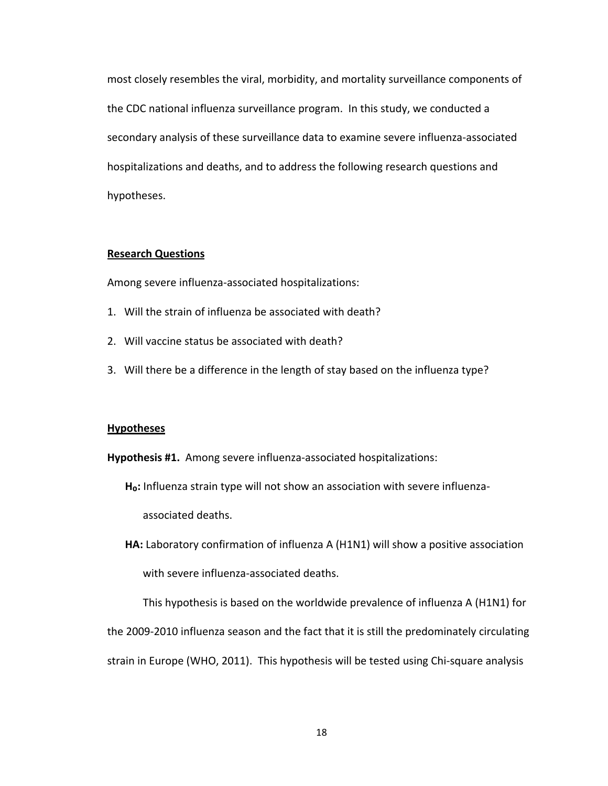most closely resembles the viral, morbidity, and mortality surveillance components of the CDC national influenza surveillance program. In this study, we conducted a secondary analysis of these surveillance data to examine severe influenza-associated hospitalizations and deaths, and to address the following research questions and hypotheses.

#### **Research
Questions**

Among
severe
influenza‐associated
hospitalizations:

- 1. Will the strain of influenza be associated with death?
- 2.

Will
vaccine
status
be
associated
with
death?
- 3. Will there be a difference in the length of stay based on the influenza type?

#### **Hypotheses**

Hypothesis #1. Among severe influenza-associated hospitalizations:

H<sub>o</sub>: Influenza strain type will not show an association with severe influenzaassociated
deaths.

**HA:** Laboratory confirmation of influenza A (H1N1) will show a positive association with
severe
influenza‐associated
deaths.

This hypothesis is based on the worldwide prevalence of influenza A (H1N1) for the 2009-2010 influenza season and the fact that it is still the predominately circulating strain in Europe (WHO, 2011). This hypothesis will be tested using Chi-square analysis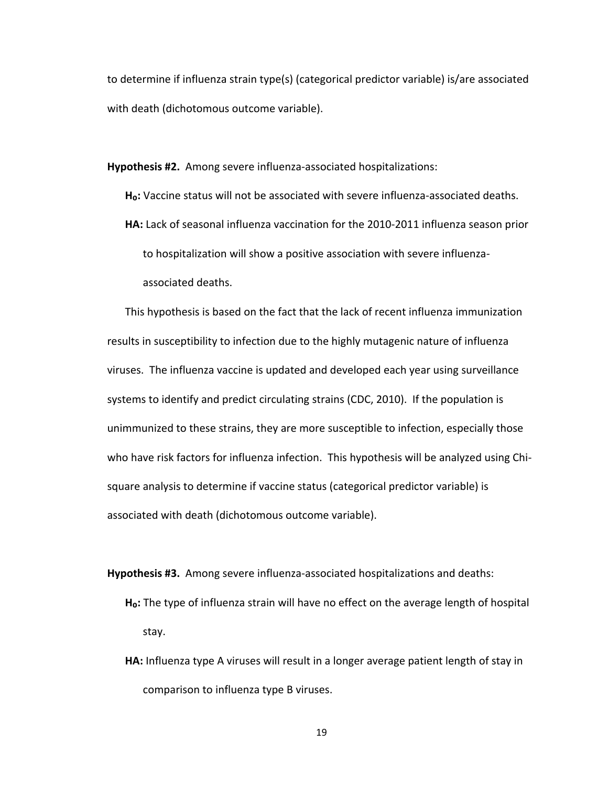to determine if influenza strain type(s) (categorical predictor variable) is/are associated with
death
(dichotomous
outcome
variable).

Hypothesis #2. Among severe influenza-associated hospitalizations:

Ho: Vaccine status will not be associated with severe influenza-associated deaths.

HA: Lack of seasonal influenza vaccination for the 2010-2011 influenza season prior to
hospitalization
will
show
a
positive
association
with
severe
influenza‐ associated
deaths.

This hypothesis is based on the fact that the lack of recent influenza immunization results in susceptibility to infection due to the highly mutagenic nature of influenza viruses. The influenza vaccine is updated and developed each year using surveillance systems to identify and predict circulating strains (CDC, 2010). If the population is unimmunized to these strains, they are more susceptible to infection, especially those who have risk factors for influenza infection. This hypothesis will be analyzed using Chisquare analysis to determine if vaccine status (categorical predictor variable) is associated
with
death
(dichotomous
outcome
variable).

Hypothesis #3. Among severe influenza-associated hospitalizations and deaths:

- H<sub>o</sub>: The type of influenza strain will have no effect on the average length of hospital stay.
- HA: Influenza type A viruses will result in a longer average patient length of stay in comparison
to
influenza
type
B
viruses.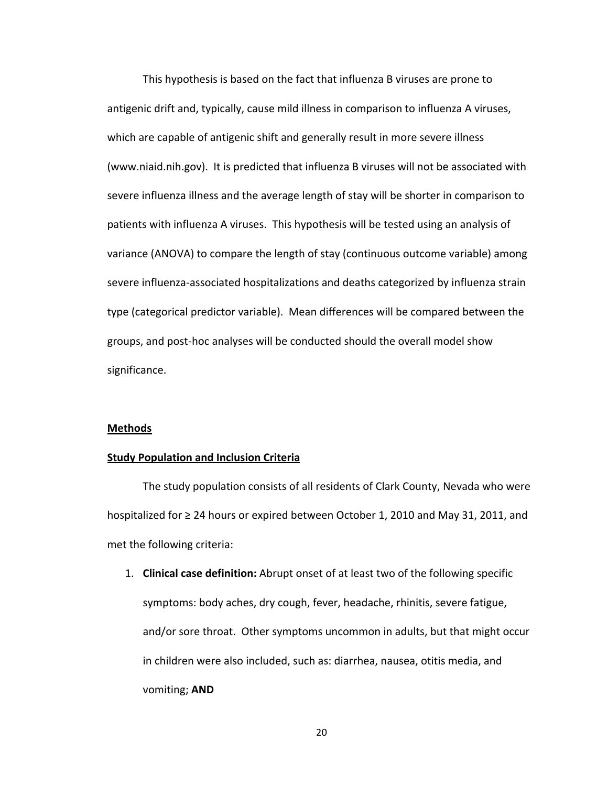This
hypothesis
is
based
on
the
fact
that
influenza
B
viruses
are
prone
to antigenic drift and, typically, cause mild illness in comparison to influenza A viruses, which are capable of antigenic shift and generally result in more severe illness (www.niaid.nih.gov). It is predicted that influenza B viruses will not be associated with severe influenza illness and the average length of stay will be shorter in comparison to patients with influenza A viruses. This hypothesis will be tested using an analysis of variance (ANOVA) to compare the length of stay (continuous outcome variable) among severe influenza-associated hospitalizations and deaths categorized by influenza strain type (categorical predictor variable). Mean differences will be compared between the groups,
and
post‐hoc
analyses
will
be
conducted
should
the
overall
model
show significance.

#### **Methods**

#### **Study Population and Inclusion Criteria**

The
study
population
consists
of
all
residents
of
Clark
County,
Nevada
who
were hospitalized for  $\geq$  24 hours or expired between October 1, 2010 and May 31, 2011, and met
the
following
criteria:

1. **Clinical case definition:** Abrupt onset of at least two of the following specific symptoms: body aches, dry cough, fever, headache, rhinitis, severe fatigue, and/or sore throat. Other symptoms uncommon in adults, but that might occur in children were also included, such as: diarrhea, nausea, otitis media, and vomiting; **AND**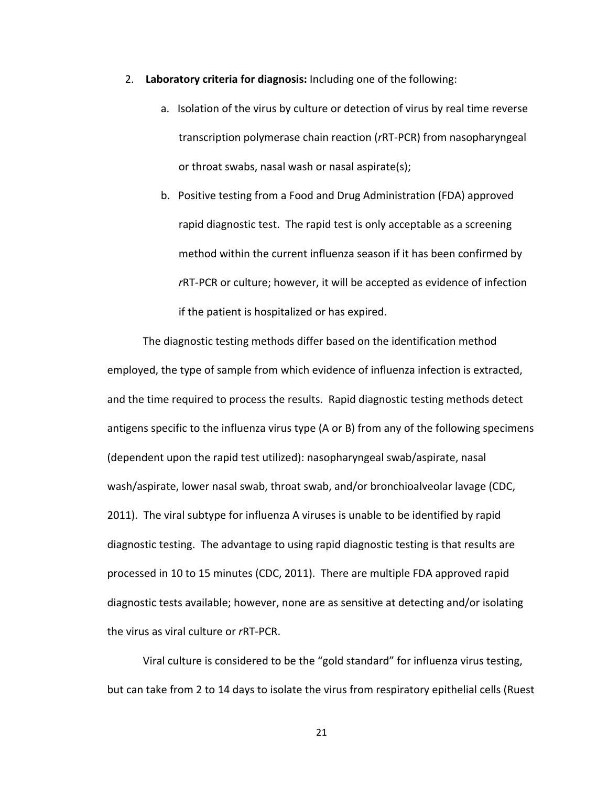- 2. Laboratory criteria for diagnosis: Including one of the following:
	- a. Isolation of the virus by culture or detection of virus by real time reverse transcription
	polymerase
	chain
	reaction
	(*r*RT‐PCR)
	from
	nasopharyngeal or
	throat
	swabs,
	nasal
	wash
	or
	nasal
	aspirate(s);
	- b.

Positive
	testing
	from
	a
	Food
	and
	Drug
	Administration
	(FDA)
	approved rapid diagnostic test. The rapid test is only acceptable as a screening method within the current influenza season if it has been confirmed by *r*RT-PCR or culture; however, it will be accepted as evidence of infection if
	the
	patient
	is
	hospitalized
	or
	has
	expired.

The diagnostic testing methods differ based on the identification method employed, the type of sample from which evidence of influenza infection is extracted, and the time required to process the results. Rapid diagnostic testing methods detect antigens specific to the influenza virus type (A or B) from any of the following specimens (dependent upon the rapid test utilized): nasopharyngeal swab/aspirate, nasal wash/aspirate, lower nasal swab, throat swab, and/or bronchioalveolar lavage (CDC, 2011).

The
viral
subtype
for
influenza
A
viruses
is
unable
to
be
identified
by
rapid diagnostic testing. The advantage to using rapid diagnostic testing is that results are processed
in
10
to
15
minutes
(CDC,
2011).

There
are
multiple
FDA
approved
rapid diagnostic tests available; however, none are as sensitive at detecting and/or isolating the virus as viral culture or rRT-PCR.

Viral culture is considered to be the "gold standard" for influenza virus testing, but can take from 2 to 14 days to isolate the virus from respiratory epithelial cells (Ruest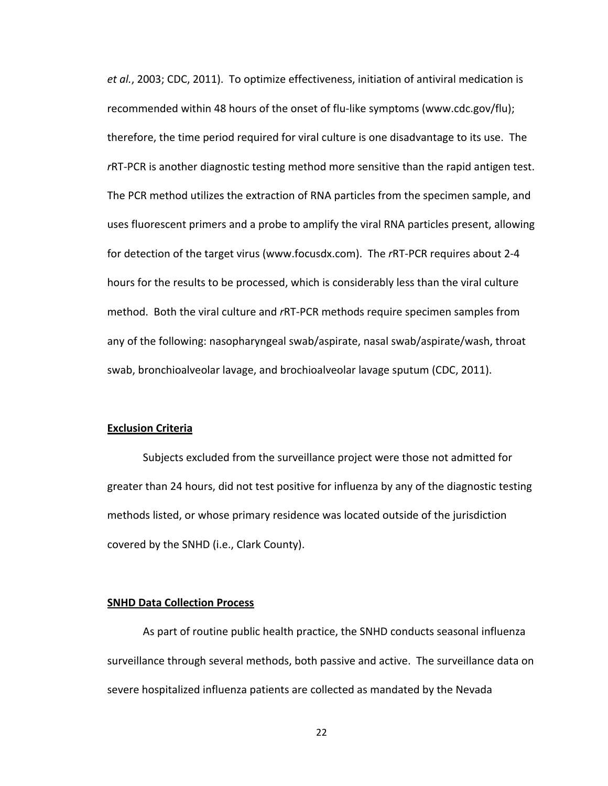et al., 2003; CDC, 2011). To optimize effectiveness, initiation of antiviral medication is recommended within 48 hours of the onset of flu-like symptoms (www.cdc.gov/flu); therefore, the time period required for viral culture is one disadvantage to its use. The rRT-PCR is another diagnostic testing method more sensitive than the rapid antigen test. The PCR method utilizes the extraction of RNA particles from the specimen sample, and uses
fluorescent
primers
and
a
probe
to
amplify
the
viral
RNA
particles
present,
allowing for detection of the target virus (www.focusdx.com). The rRT-PCR requires about 2-4 hours for the results to be processed, which is considerably less than the viral culture method. Both the viral culture and rRT-PCR methods require specimen samples from any
of
the
following:
nasopharyngeal
swab/aspirate,
nasal
swab/aspirate/wash,
throat swab,
bronchioalveolar
lavage,
and
brochioalveolar
lavage
sputum
(CDC,
2011).

#### **Exclusion
Criteria**

Subjects excluded from the surveillance project were those not admitted for greater than 24 hours, did not test positive for influenza by any of the diagnostic testing methods
listed,
or
whose
primary
residence
was
located
outside
of
the
jurisdiction covered
by
the
SNHD
(i.e.,
Clark
County).

#### **SNHD
Data
Collection
Process**

As part of routine public health practice, the SNHD conducts seasonal influenza surveillance through several methods, both passive and active. The surveillance data on severe hospitalized influenza patients are collected as mandated by the Nevada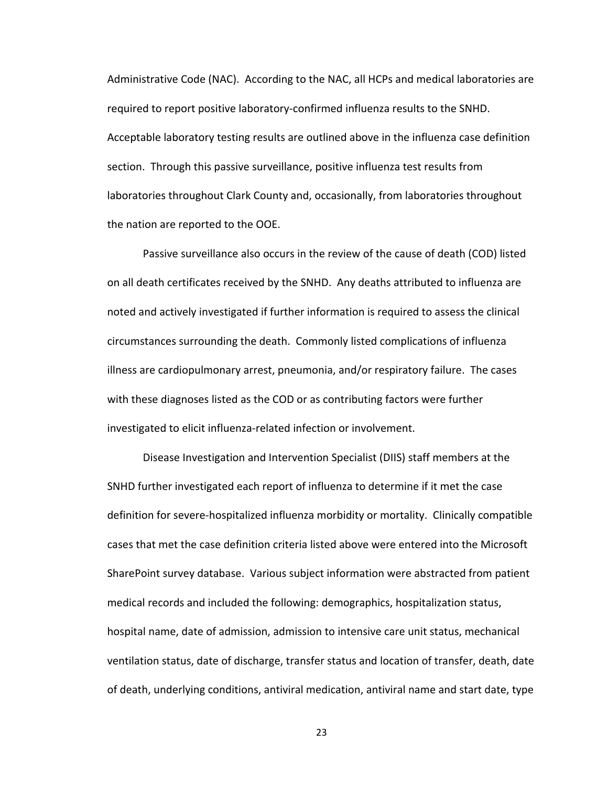Administrative Code (NAC). According to the NAC, all HCPs and medical laboratories are required to report positive laboratory-confirmed influenza results to the SNHD. Acceptable laboratory testing results are outlined above in the influenza case definition section. Through this passive surveillance, positive influenza test results from laboratories throughout Clark County and, occasionally, from laboratories throughout the
nation
are
reported
to
the
OOE.

Passive surveillance also occurs in the review of the cause of death (COD) listed on
all
death
certificates
received
by
the
SNHD.

Any
deaths
attributed
to
influenza
are noted and actively investigated if further information is required to assess the clinical circumstances
surrounding
the
death.

Commonly
listed
complications
of
influenza illness are cardiopulmonary arrest, pneumonia, and/or respiratory failure. The cases with these diagnoses listed as the COD or as contributing factors were further investigated to elicit influenza-related infection or involvement.

Disease Investigation and Intervention Specialist (DIIS) staff members at the SNHD further investigated each report of influenza to determine if it met the case definition for severe-hospitalized influenza morbidity or mortality. Clinically compatible cases that met the case definition criteria listed above were entered into the Microsoft SharePoint survey database. Various subject information were abstracted from patient medical
records
and
included
the
following:
demographics,
hospitalization
status, hospital name, date of admission, admission to intensive care unit status, mechanical ventilation status, date of discharge, transfer status and location of transfer, death, date of death, underlying conditions, antiviral medication, antiviral name and start date, type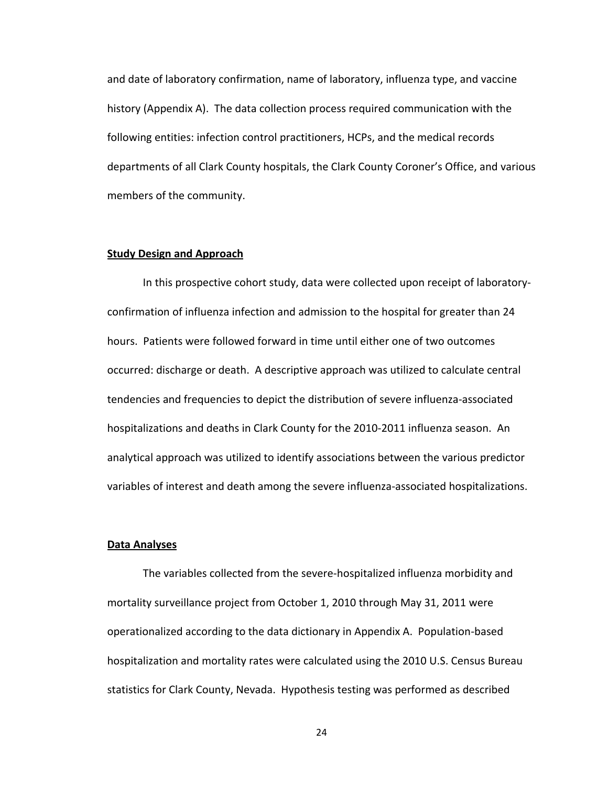and
date
of
laboratory
confirmation,
name
of
laboratory,
influenza
type,
and
vaccine history (Appendix A). The data collection process required communication with the following entities: infection control practitioners, HCPs, and the medical records departments of all Clark County hospitals, the Clark County Coroner's Office, and various members
of
the
community.

#### **Study
Design
and
Approach**

In this prospective cohort study, data were collected upon receipt of laboratoryconfirmation of influenza infection and admission to the hospital for greater than 24 hours.

Patients
were
followed
forward
in
time
until
either
one
of
two
outcomes occurred:
discharge
or
death.

A
descriptive
approach
was
utilized
to
calculate
central tendencies and frequencies to depict the distribution of severe influenza-associated hospitalizations and deaths in Clark County for the 2010-2011 influenza season. An analytical approach was utilized to identify associations between the various predictor variables
of
interest
and
death
among
the
severe
influenza‐associated
hospitalizations.

#### **Data
Analyses**

The variables collected from the severe-hospitalized influenza morbidity and mortality
surveillance
project
from
October
1,
2010
through
May
31,
2011
were operationalized according to the data dictionary in Appendix A. Population-based hospitalization and mortality rates were calculated using the 2010 U.S. Census Bureau statistics
for
Clark
County,
Nevada.

Hypothesis
testing
was
performed
as
described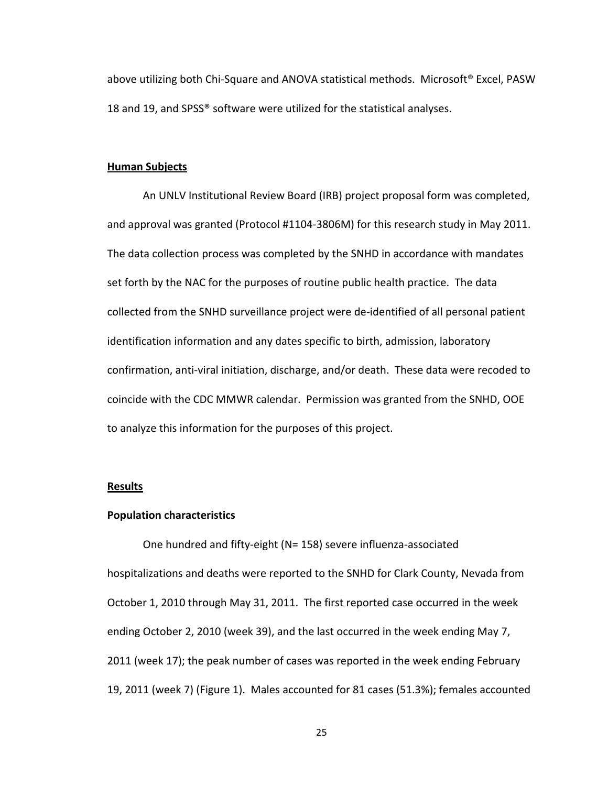above utilizing both Chi-Square and ANOVA statistical methods. Microsoft® Excel, PASW 18 and 19, and SPSS® software were utilized for the statistical analyses.

#### **Human
Subjects**

An
UNLV
Institutional
Review
Board
(IRB)
project
proposal
form
was
completed, and approval was granted (Protocol #1104-3806M) for this research study in May 2011. The
data
collection
process
was
completed
by
the
SNHD
in
accordance
with
mandates set forth by the NAC for the purposes of routine public health practice. The data collected from the SNHD surveillance project were de-identified of all personal patient identification information and any dates specific to birth, admission, laboratory confirmation, anti-viral initiation, discharge, and/or death. These data were recoded to coincide
with
the
CDC
MMWR
calendar.

Permission
was
granted
from
the
SNHD,
OOE to
analyze
this
information
for
the
purposes
of
this
project.

#### **Results**

#### **Population
characteristics**

One
hundred
and
fifty‐eight
(N=
158)
severe
influenza‐associated hospitalizations and deaths were reported to the SNHD for Clark County, Nevada from October 1, 2010 through May 31, 2011. The first reported case occurred in the week ending October 2, 2010 (week 39), and the last occurred in the week ending May 7, 2011
(week
17);
the
peak
number
of
cases
was
reported
in
the
week
ending
February 19, 2011 (week 7) (Figure 1). Males accounted for 81 cases (51.3%); females accounted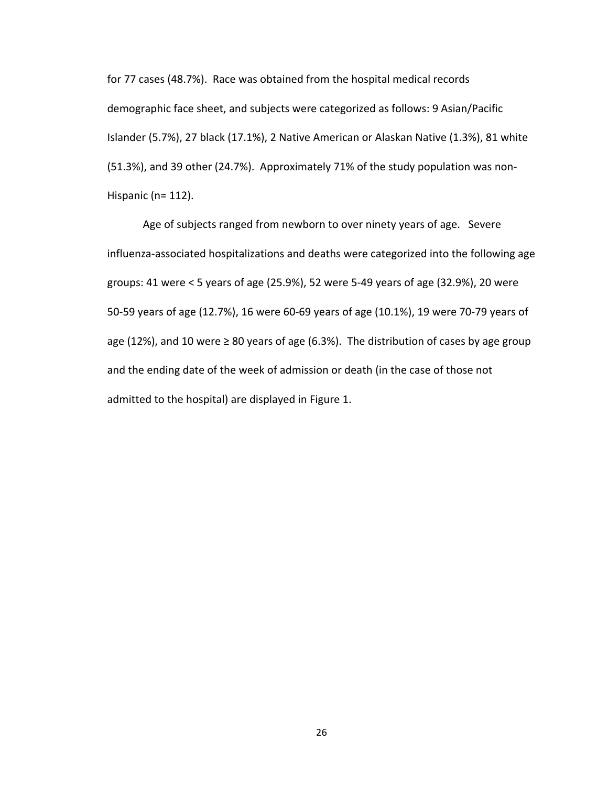for
77
cases
(48.7%).

Race
was
obtained
from
the
hospital
medical
records demographic face sheet, and subjects were categorized as follows: 9 Asian/Pacific Islander (5.7%), 27 black (17.1%), 2 Native American or Alaskan Native (1.3%), 81 white (51.3%),
and
39
other
(24.7%).

Approximately
71%
of
the
study
population
was
non‐ Hispanic (n= 112).

Age of subjects ranged from newborn to over ninety years of age. Severe influenza‐associated
hospitalizations
and
deaths
were
categorized
into
the
following
age groups:
41
were
<
5
years
of
age
(25.9%),
52
were
5‐49
years
of
age
(32.9%),
20
were 50-59 years of age (12.7%), 16 were 60-69 years of age (10.1%), 19 were 70-79 years of age (12%), and 10 were  $\geq 80$  years of age (6.3%). The distribution of cases by age group and the ending date of the week of admission or death (in the case of those not admitted to the hospital) are displayed in Figure 1.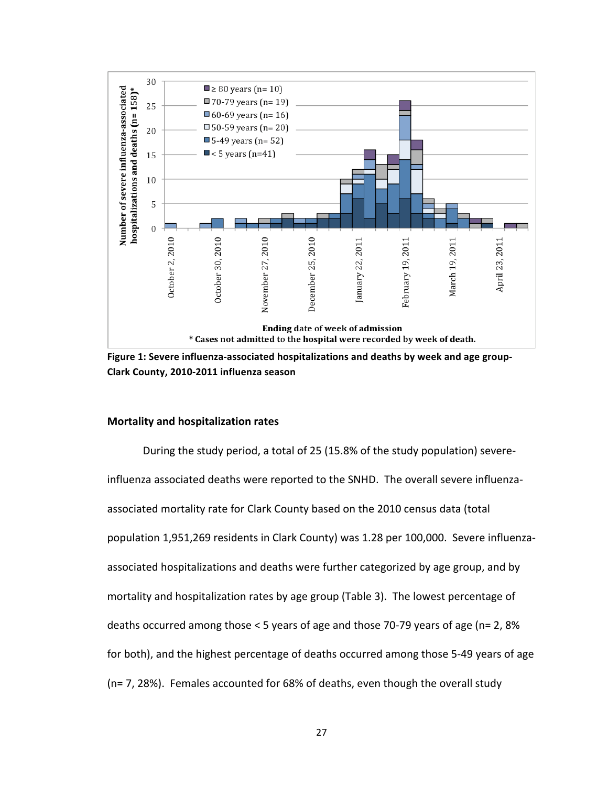

Figure 1: Severe influenza-associated hospitalizations and deaths by week and age group-**Clark
County,
2010‐2011
influenza
season**

#### **Mortality
and
hospitalization
rates**

During
the
study
period,
a
total
of
25
(15.8%
of
the
study
population)
severe‐ influenza associated deaths were reported to the SNHD. The overall severe influenzaassociated mortality rate for Clark County based on the 2010 census data (total population 1,951,269 residents in Clark County) was 1.28 per 100,000. Severe influenzaassociated hospitalizations and deaths were further categorized by age group, and by mortality and hospitalization rates by age group (Table 3). The lowest percentage of deaths occurred among those < 5 years of age and those 70-79 years of age (n= 2, 8% for both), and the highest percentage of deaths occurred among those 5-49 years of age (n=
7,
28%).

Females
accounted
for
68%
of
deaths,
even
though
the
overall
study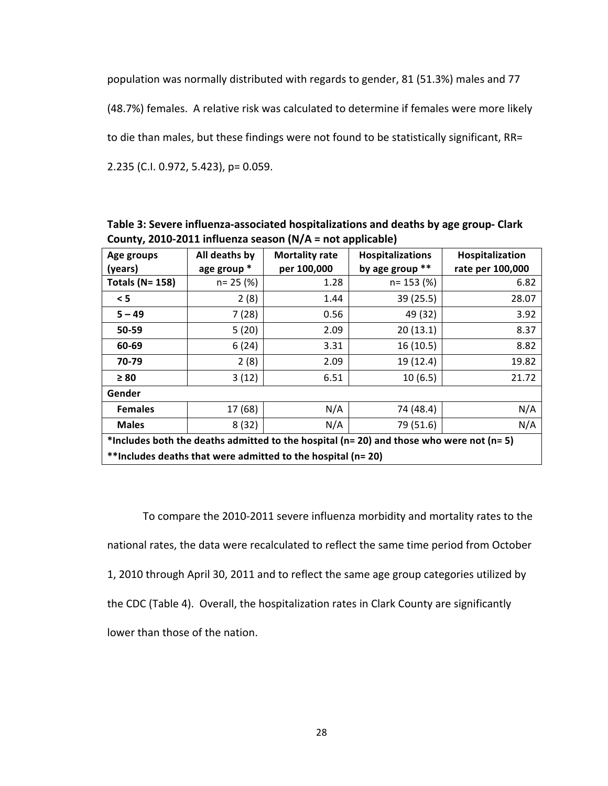population
was
normally
distributed
with
regards
to
gender,
81
(51.3%)
males
and
77

(48.7%) females. A relative risk was calculated to determine if females were more likely

to die than males, but these findings were not found to be statistically significant, RR=

2.235
(C.I.
0.972,
5.423),
p=
0.059.

| Table 3: Severe influenza-associated hospitalizations and deaths by age group- Clark |
|--------------------------------------------------------------------------------------|
| County, 2010-2011 influenza season $(N/A = not applicable)$                          |

| Age groups                                                                                     | All deaths by | <b>Mortality rate</b> | <b>Hospitalizations</b> | Hospitalization  |  |  |
|------------------------------------------------------------------------------------------------|---------------|-----------------------|-------------------------|------------------|--|--|
| (years)                                                                                        | age group *   | per 100,000           | by age group **         | rate per 100,000 |  |  |
| <b>Totals (N= 158)</b>                                                                         | $n = 25$ (%)  | 1.28                  | $n = 153$ (%)           | 6.82             |  |  |
| < 5                                                                                            | 2(8)          | 1.44                  | 39(25.5)                | 28.07            |  |  |
| $5 - 49$                                                                                       | 7(28)         | 0.56                  | 49 (32)                 | 3.92             |  |  |
| 50-59                                                                                          | 5(20)         | 2.09                  | 20(13.1)                | 8.37             |  |  |
| 60-69                                                                                          | 6(24)         | 3.31                  | 16(10.5)                | 8.82             |  |  |
| 70-79                                                                                          | 2(8)          | 2.09                  | 19 (12.4)               | 19.82            |  |  |
| $\geq 80$                                                                                      | 3(12)         | 6.51                  | 10(6.5)                 | 21.72            |  |  |
| Gender                                                                                         |               |                       |                         |                  |  |  |
| <b>Females</b>                                                                                 | 17 (68)       | N/A                   | 74 (48.4)               | N/A              |  |  |
| <b>Males</b>                                                                                   | 8(32)         | N/A                   | 79 (51.6)               | N/A              |  |  |
| *Includes both the deaths admitted to the hospital ( $n=20$ ) and those who were not ( $n=5$ ) |               |                       |                         |                  |  |  |
| **Includes deaths that were admitted to the hospital (n= 20)                                   |               |                       |                         |                  |  |  |

To compare the 2010-2011 severe influenza morbidity and mortality rates to the national
rates,
the
data
were
recalculated
to
reflect
the
same
time
period
from
October 1, 2010 through April 30, 2011 and to reflect the same age group categories utilized by the CDC (Table 4). Overall, the hospitalization rates in Clark County are significantly lower
than
those
of
the
nation.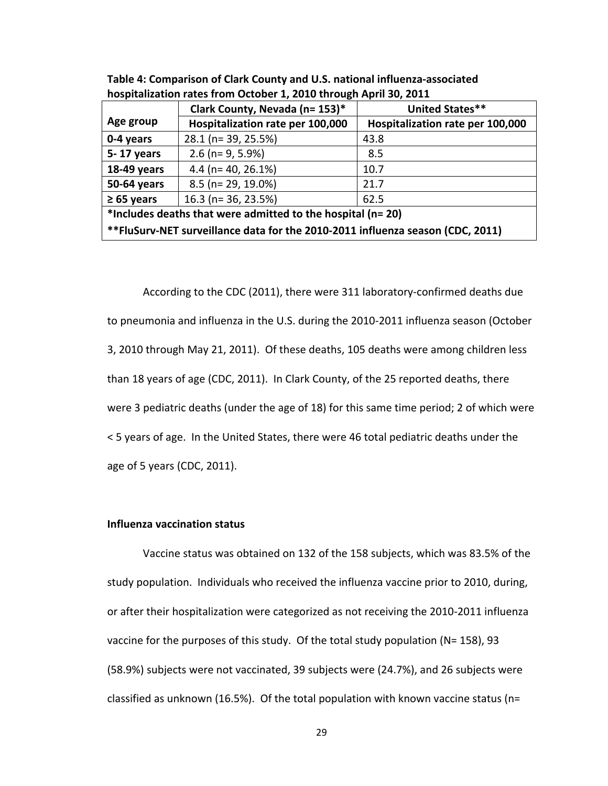|                                                                                | Clark County, Nevada (n= 153)*   | <b>United States**</b>           |  |  |  |
|--------------------------------------------------------------------------------|----------------------------------|----------------------------------|--|--|--|
| Age group                                                                      | Hospitalization rate per 100,000 | Hospitalization rate per 100,000 |  |  |  |
| 0-4 years                                                                      | 28.1 (n= 39, 25.5%)              | 43.8                             |  |  |  |
| 5-17 years                                                                     | $2.6$ (n= 9, 5.9%)               | 8.5                              |  |  |  |
| 18-49 years                                                                    | 4.4 ( $n = 40$ , 26.1%)          | 10.7                             |  |  |  |
| 50-64 years                                                                    | 8.5 (n= 29, 19.0%)               | 21.7                             |  |  |  |
| $\geq 65$ years                                                                | 16.3 (n= 36, 23.5%)              | 62.5                             |  |  |  |
| *Includes deaths that were admitted to the hospital (n= 20)                    |                                  |                                  |  |  |  |
| **FluSurv-NET surveillance data for the 2010-2011 influenza season (CDC, 2011) |                                  |                                  |  |  |  |

Table 4: Comparison of Clark County and U.S. national influenza-associated hospitalization rates from October 1, 2010 through April 30, 2011

According to the CDC (2011), there were 311 laboratory-confirmed deaths due to pneumonia and influenza in the U.S. during the 2010-2011 influenza season (October 3, 2010 through May 21, 2011). Of these deaths, 105 deaths were among children less than 18 years of age (CDC, 2011). In Clark County, of the 25 reported deaths, there were 3 pediatric deaths (under the age of 18) for this same time period; 2 of which were < 5 years of age. In the United States, there were 46 total pediatric deaths under the age
of
5
years
(CDC,
2011).

#### **Influenza
vaccination
status**

Vaccine status was obtained on 132 of the 158 subjects, which was 83.5% of the study population. Individuals who received the influenza vaccine prior to 2010, during, or
after
their
hospitalization
were
categorized
as
not
receiving
the
2010‐2011
influenza vaccine for the purposes of this study. Of the total study population (N= 158), 93 (58.9%)
subjects
were
not
vaccinated,
39
subjects
were
(24.7%),
and
26
subjects
were classified as unknown (16.5%). Of the total population with known vaccine status (n=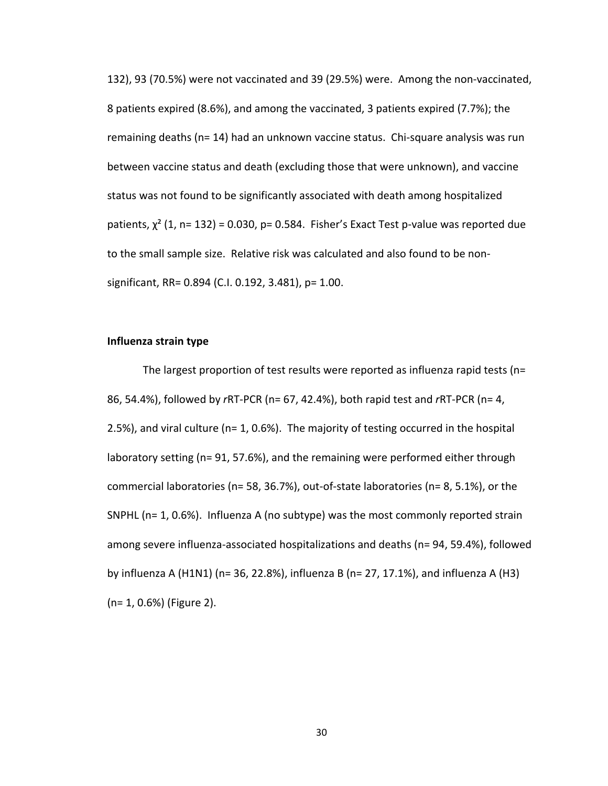132),
93
(70.5%)
were not
vaccinated
and
39
(29.5%)
were.

Among
the
non‐vaccinated, 8
patients
expired
(8.6%),
and
among
the
vaccinated,
3
patients
expired
(7.7%);
the remaining deaths (n= 14) had an unknown vaccine status. Chi-square analysis was run between vaccine status and death (excluding those that were unknown), and vaccine status was not found to be significantly associated with death among hospitalized patients,  $\chi^2$  (1, n= 132) = 0.030, p= 0.584. Fisher's Exact Test p-value was reported due to the small sample size. Relative risk was calculated and also found to be nonsignificant,
RR=
0.894
(C.I.
0.192,
3.481),
p=
1.00.

#### **Influenza
strain
type**

The largest proportion of test results were reported as influenza rapid tests (n= 86,
54.4%),
followed
by *r*RT‐PCR
(n=
67,
42.4%),
both
rapid
test
and *r*RT‐PCR
(n=
4,  $2.5%$ ), and viral culture (n= 1, 0.6%). The majority of testing occurred in the hospital laboratory setting (n= 91, 57.6%), and the remaining were performed either through commercial laboratories (n= 58, 36.7%), out-of-state laboratories (n= 8, 5.1%), or the SNPHL ( $n=1, 0.6\%$ ). Influenza A (no subtype) was the most commonly reported strain among
severe
influenza‐associated
hospitalizations
and
deaths
(n=
94,
59.4%),
followed by influenza A (H1N1) (n= 36, 22.8%), influenza B (n= 27, 17.1%), and influenza A (H3) (n=
1,
0.6%)
(Figure
2).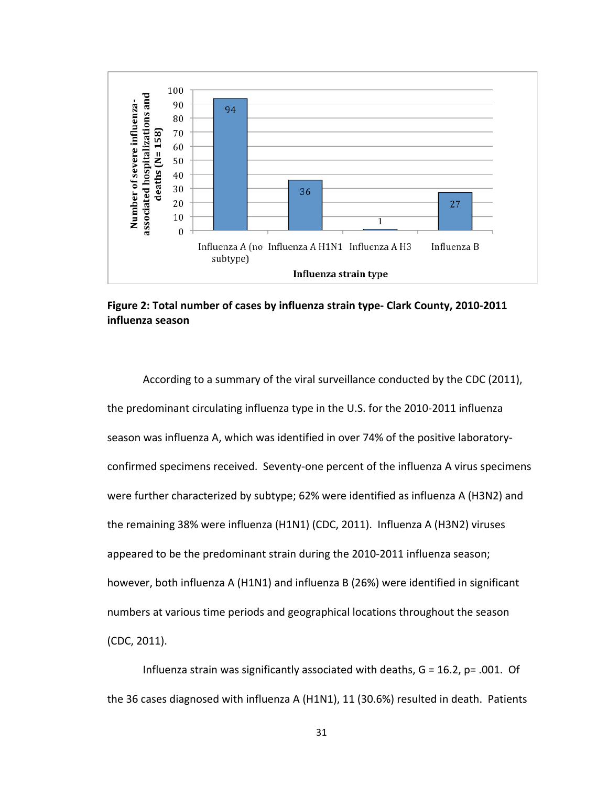![](_page_40_Figure_0.jpeg)

Figure 2: Total number of cases by influenza strain type- Clark County, 2010-2011 **influenza
season**

According to a summary of the viral surveillance conducted by the CDC (2011), the predominant circulating influenza type in the U.S. for the 2010-2011 influenza season was influenza A, which was identified in over 74% of the positive laboratoryconfirmed specimens received. Seventy-one percent of the influenza A virus specimens were further characterized by subtype; 62% were identified as influenza A (H3N2) and the remaining 38% were influenza (H1N1) (CDC, 2011). Influenza A (H3N2) viruses appeared to be the predominant strain during the 2010-2011 influenza season; however, both influenza A (H1N1) and influenza B (26%) were identified in significant numbers at various time periods and geographical locations throughout the season (CDC,
2011).

Influenza strain was significantly associated with deaths,  $G = 16.2$ ,  $p = .001$ . Of the 36 cases diagnosed with influenza A (H1N1), 11 (30.6%) resulted in death. Patients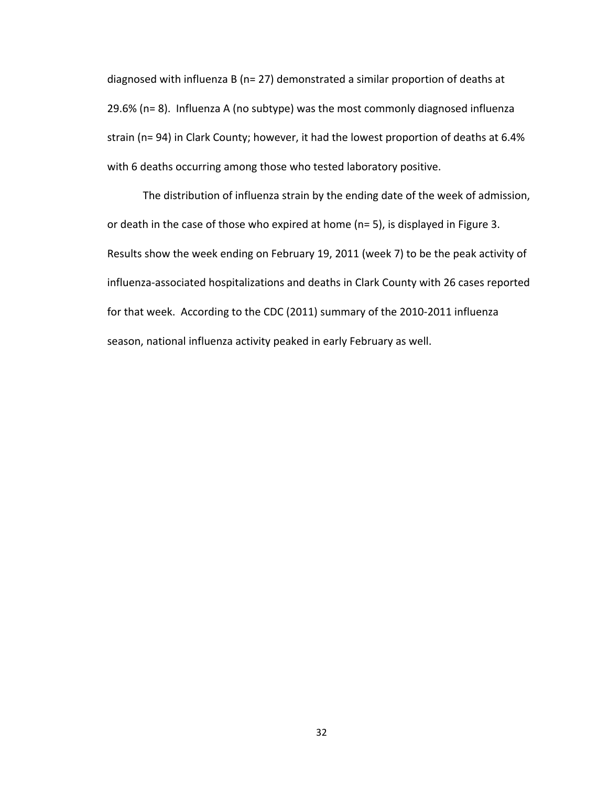diagnosed with influenza B (n= 27) demonstrated a similar proportion of deaths at 29.6% (n= 8). Influenza A (no subtype) was the most commonly diagnosed influenza strain (n= 94) in Clark County; however, it had the lowest proportion of deaths at 6.4% with 6 deaths occurring among those who tested laboratory positive.

The distribution of influenza strain by the ending date of the week of admission, or death in the case of those who expired at home (n= 5), is displayed in Figure 3. Results show the week ending on February 19, 2011 (week 7) to be the peak activity of influenza‐associated
hospitalizations
and
deaths
in
Clark
County
with
26
cases
reported for that week. According to the CDC (2011) summary of the 2010-2011 influenza season, national influenza activity peaked in early February as well.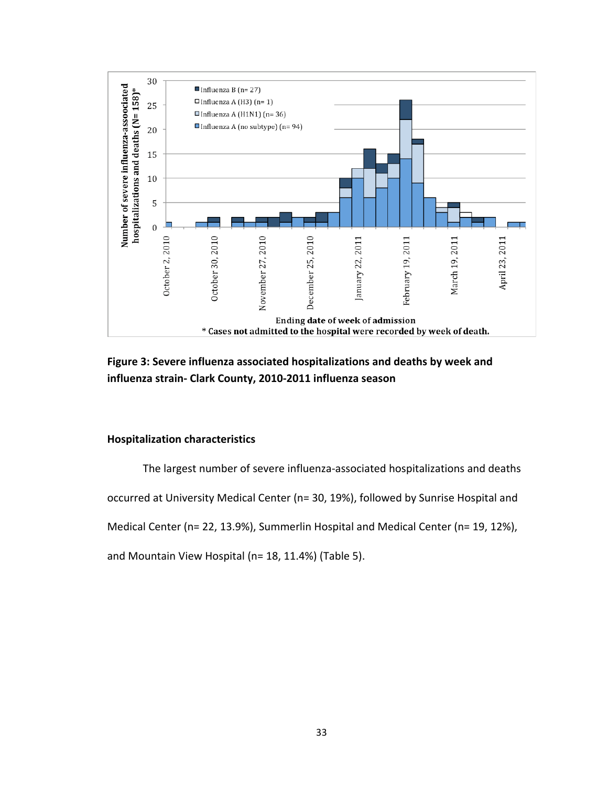![](_page_42_Figure_0.jpeg)

Figure 3: Severe influenza associated hospitalizations and deaths by week and **influenza
strain‐
Clark
County,
2010‐2011
influenza
season**

#### **Hospitalization
characteristics**

The
largest
number
of
severe
influenza‐associated
hospitalizations
and
deaths occurred
at
University
Medical
Center
(n=
30,
19%),
followed
by
Sunrise
Hospital
and Medical Center (n= 22, 13.9%), Summerlin Hospital and Medical Center (n= 19, 12%),

and
Mountain
View
Hospital
(n=
18,
11.4%)
(Table
5).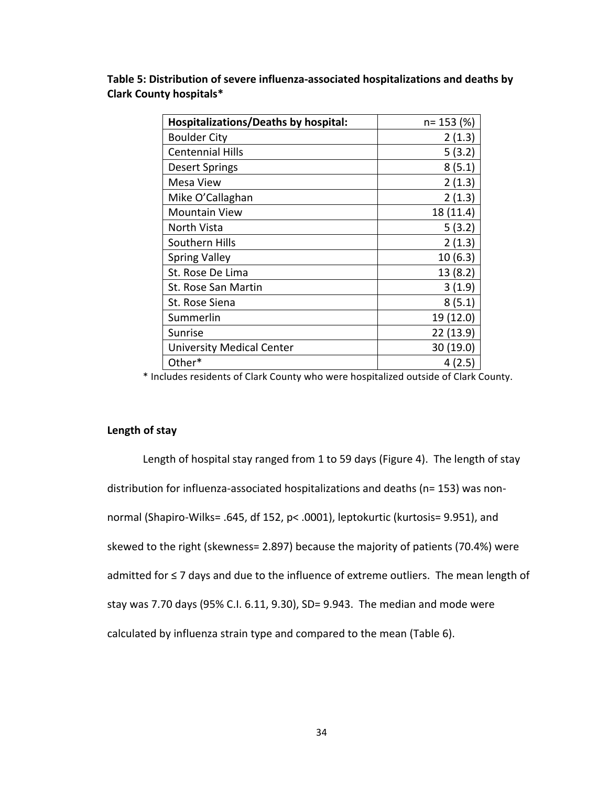| Hospitalizations/Deaths by hospital: | $n = 153$ (%) |
|--------------------------------------|---------------|
| <b>Boulder City</b>                  | 2(1.3)        |
| <b>Centennial Hills</b>              | 5(3.2)        |
| <b>Desert Springs</b>                | 8(5.1)        |
| Mesa View                            | 2(1.3)        |
| Mike O'Callaghan                     | 2(1.3)        |
| <b>Mountain View</b>                 | 18 (11.4)     |
| North Vista                          | 5(3.2)        |
| Southern Hills                       | 2(1.3)        |
| <b>Spring Valley</b>                 | 10(6.3)       |
| St. Rose De Lima                     | 13(8.2)       |
| St. Rose San Martin                  | 3(1.9)        |
| St. Rose Siena                       | 8(5.1)        |
| Summerlin                            | 19 (12.0)     |
| Sunrise                              | 22(13.9)      |
| <b>University Medical Center</b>     | 30 (19.0)     |
| Other*                               | 4(2.5)        |

Table 5: Distribution of severe influenza-associated hospitalizations and deaths by **Clark
County
hospitals\***

\*
Includes
residents
of
Clark
County
who
were
hospitalized
outside
of
Clark
County.

#### **Length
of
stay**

Length of hospital stay ranged from 1 to 59 days (Figure 4). The length of stay distribution for influenza-associated hospitalizations and deaths (n= 153) was nonnormal
(Shapiro‐Wilks=
.645,
df
152,
p<
.0001),
leptokurtic
(kurtosis=
9.951),
and skewed to the right (skewness= 2.897) because the majority of patients (70.4%) were admitted for ≤ 7 days and due to the influence of extreme outliers. The mean length of stay
was
7.70
days
(95%
C.I.
6.11,
9.30),
SD=
9.943.

The
median
and
mode were calculated
by
influenza
strain
type
and
compared
to
the
mean
(Table
6).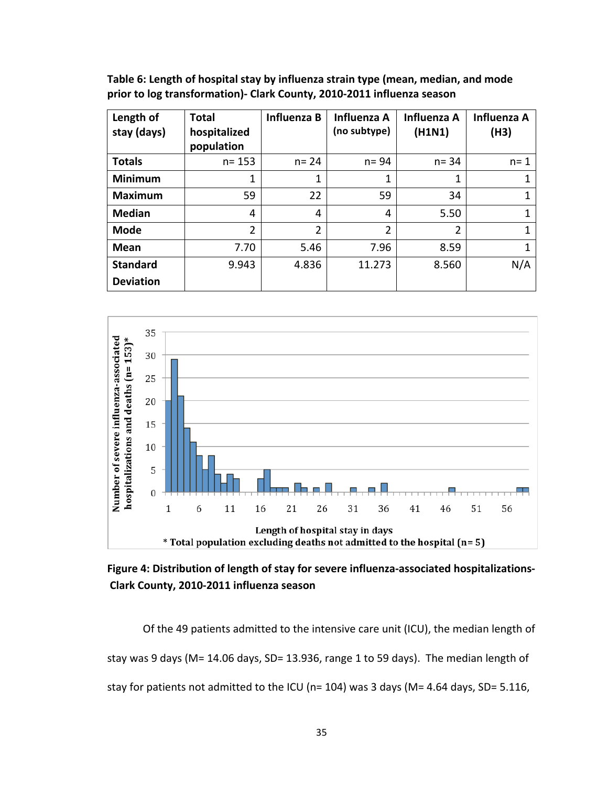Table 6: Length of hospital stay by influenza strain type (mean, median, and mode **prior
to
log
transformation)‐
Clark
County,
2010‐2011
influenza
season**

| Length of<br>stay (days) | <b>Total</b><br>hospitalized<br>population | <b>Influenza B</b> | <b>Influenza A</b><br>(no subtype) | <b>Influenza A</b><br>(H1N1) | <b>Influenza A</b><br>(H3) |
|--------------------------|--------------------------------------------|--------------------|------------------------------------|------------------------------|----------------------------|
| <b>Totals</b>            | $n = 153$                                  | $n = 24$           | $n = 94$                           | $n = 34$                     | $n = 1$                    |
| <b>Minimum</b>           |                                            | 1                  | 1                                  | 1                            |                            |
| <b>Maximum</b>           | 59                                         | 22                 | 59                                 | 34                           |                            |
| <b>Median</b>            | 4                                          | 4                  | 4                                  | 5.50                         |                            |
| <b>Mode</b>              | $\overline{2}$                             | $\overline{2}$     | $\overline{2}$                     | 2                            |                            |
| Mean                     | 7.70                                       | 5.46               | 7.96                               | 8.59                         |                            |
| <b>Standard</b>          | 9.943                                      | 4.836              | 11.273                             | 8.560                        | N/A                        |
| <b>Deviation</b>         |                                            |                    |                                    |                              |                            |

![](_page_44_Figure_2.jpeg)

Figure 4: Distribution of length of stay for severe influenza-associated hospitalizations-**Clark
County,
2010‐2011
influenza
season**

Of the 49 patients admitted to the intensive care unit (ICU), the median length of stay was 9 days (M= 14.06 days, SD= 13.936, range 1 to 59 days). The median length of stay for patients not admitted to the ICU (n= 104) was 3 days (M= 4.64 days, SD= 5.116,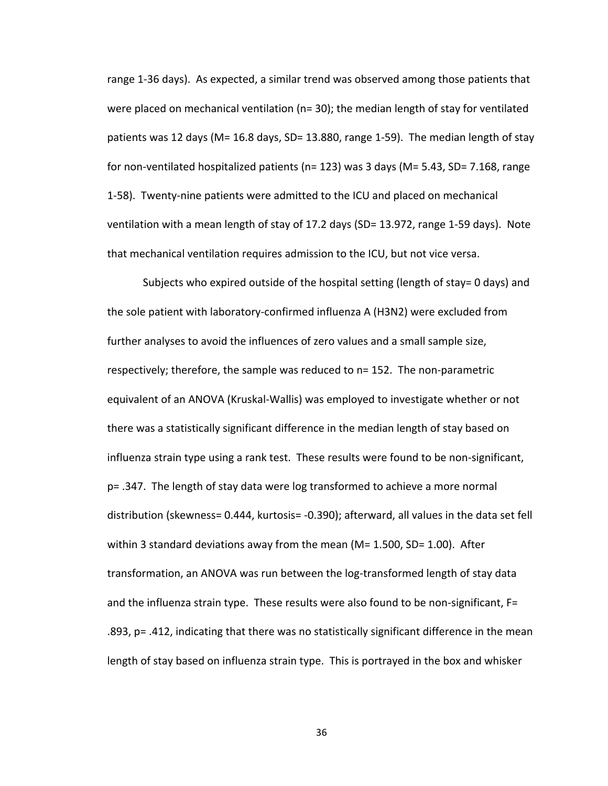range 1-36 days). As expected, a similar trend was observed among those patients that were placed on mechanical ventilation ( $n=$  30); the median length of stay for ventilated patients was 12 days (M= 16.8 days, SD= 13.880, range 1-59). The median length of stay for non-ventilated hospitalized patients (n= 123) was 3 days (M= 5.43, SD= 7.168, range 1-58). Twenty-nine patients were admitted to the ICU and placed on mechanical ventilation with a mean length of stay of 17.2 days (SD= 13.972, range 1-59 days). Note that mechanical ventilation requires admission to the ICU, but not vice versa.

Subjects who expired outside of the hospital setting (length of stay= 0 days) and the sole patient with laboratory-confirmed influenza A (H3N2) were excluded from further analyses to avoid the influences of zero values and a small sample size, respectively; therefore, the sample was reduced to n= 152. The non-parametric equivalent of an ANOVA (Kruskal-Wallis) was employed to investigate whether or not there was a statistically significant difference in the median length of stay based on influenza strain type using a rank test. These results were found to be non-significant, p=
.347.

The
length
of
stay
data
were
log
transformed
to
achieve
a
more
normal distribution (skewness= 0.444, kurtosis= -0.390); afterward, all values in the data set fell within 3 standard deviations away from the mean ( $M = 1.500$ ,  $SD = 1.00$ ). After transformation, an ANOVA was run between the log-transformed length of stay data and the influenza strain type. These results were also found to be non-significant, F= .893,
p=
.412,
indicating
that
there
was
no
statistically
significant
difference
in
the
mean length of stay based on influenza strain type. This is portrayed in the box and whisker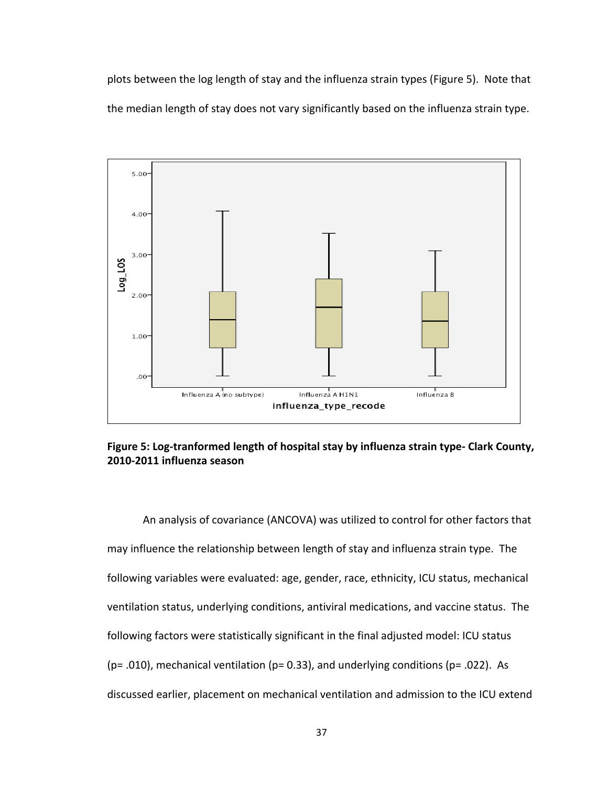plots between the log length of stay and the influenza strain types (Figure 5). Note that the median length of stay does not vary significantly based on the influenza strain type.

![](_page_46_Figure_1.jpeg)

Figure 5: Log-tranformed length of hospital stay by influenza strain type- Clark County, **2010‐2011
influenza
season** 

An
analysis
of
covariance
(ANCOVA)
was
utilized
to
control
for
other
factors
that may influence the relationship between length of stay and influenza strain type. The following
variables
were
evaluated:
age,
gender,
race,
ethnicity,
ICU
status,
mechanical ventilation status, underlying conditions, antiviral medications, and vaccine status. The following factors were statistically significant in the final adjusted model: ICU status (p= .010), mechanical ventilation (p= 0.33), and underlying conditions (p= .022). As discussed earlier, placement on mechanical ventilation and admission to the ICU extend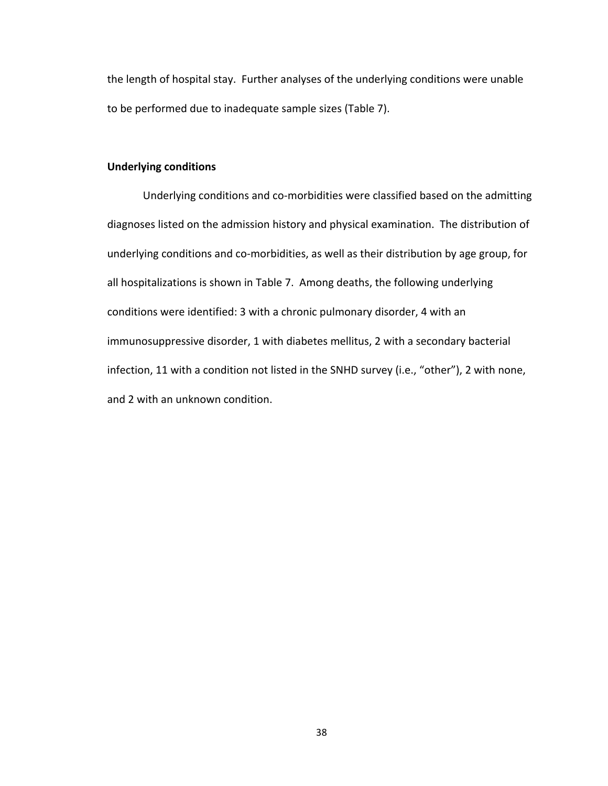the
length
of
hospital
stay.

Further
analyses
of
the
underlying
conditions
were
unable to be performed due to inadequate sample sizes (Table 7).

#### **Underlying
conditions**

Underlying conditions and co-morbidities were classified based on the admitting diagnoses listed on the admission history and physical examination. The distribution of underlying conditions and co-morbidities, as well as their distribution by age group, for all hospitalizations is shown in Table 7. Among deaths, the following underlying conditions were identified: 3 with a chronic pulmonary disorder, 4 with an immunosuppressive disorder, 1 with diabetes mellitus, 2 with a secondary bacterial infection, 11 with a condition not listed in the SNHD survey (i.e., "other"), 2 with none, and
2
with
an
unknown
condition.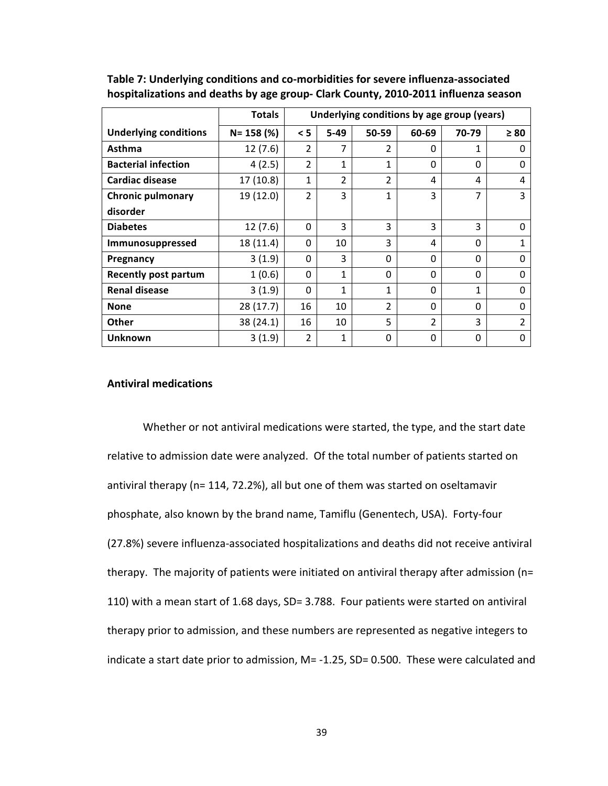|                              | <b>Totals</b> | Underlying conditions by age group (years) |                |                |                |              |           |
|------------------------------|---------------|--------------------------------------------|----------------|----------------|----------------|--------------|-----------|
| <b>Underlying conditions</b> | $N = 158$ (%) | < 5                                        | $5-49$         | 50-59          | 60-69          | 70-79        | $\geq 80$ |
| Asthma                       | 12(7.6)       | $\overline{2}$                             | 7              | $\overline{2}$ | $\Omega$       | 1            | 0         |
| <b>Bacterial infection</b>   | 4(2.5)        | $\overline{2}$                             | 1              | 1              | 0              | 0            | 0         |
| <b>Cardiac disease</b>       | 17(10.8)      | 1                                          | $\overline{2}$ | $\overline{2}$ | 4              | 4            | 4         |
| <b>Chronic pulmonary</b>     | 19 (12.0)     | $\overline{2}$                             | 3              | 1              | 3              | 7            | 3         |
| disorder                     |               |                                            |                |                |                |              |           |
| <b>Diabetes</b>              | 12(7.6)       | $\Omega$                                   | 3              | 3              | 3              | 3            | 0         |
| Immunosuppressed             | 18 (11.4)     | $\Omega$                                   | 10             | 3              | 4              | $\Omega$     | 1         |
| Pregnancy                    | 3(1.9)        | $\Omega$                                   | 3              | $\Omega$       | $\Omega$       | $\Omega$     | 0         |
| Recently post partum         | 1(0.6)        | $\Omega$                                   | 1              | $\Omega$       | $\Omega$       | $\Omega$     | 0         |
| <b>Renal disease</b>         | 3(1.9)        | $\Omega$                                   | 1              | 1              | $\Omega$       | $\mathbf{1}$ | 0         |
| <b>None</b>                  | 28 (17.7)     | 16                                         | 10             | $\overline{2}$ | $\Omega$       | $\Omega$     | 0         |
| <b>Other</b>                 | 38 (24.1)     | 16                                         | 10             | 5              | $\overline{2}$ | 3            | 2         |
| <b>Unknown</b>               | 3(1.9)        | $\overline{2}$                             | 1              | $\Omega$       | $\Omega$       | $\Omega$     | 0         |

**Table
7:
Underlying
conditions
and
co‐morbidities
for
severe
influenza‐associated**  hospitalizations and deaths by age group- Clark County, 2010-2011 influenza season

#### **Antiviral
medications**

Whether or not antiviral medications were started, the type, and the start date relative to admission date were analyzed. Of the total number of patients started on antiviral
therapy
(n=
114,
72.2%),
all
but
one
of
them
was
started
on
oseltamavir phosphate, also known by the brand name, Tamiflu (Genentech, USA). Forty-four (27.8%)
severe
influenza‐associated
hospitalizations
and
deaths
did
not
receive
antiviral therapy. The majority of patients were initiated on antiviral therapy after admission (n= 110)
with
a
mean
start
of
1.68
days,
SD=
3.788.

Four
patients
were
started
on
antiviral therapy prior to admission, and these numbers are represented as negative integers to indicate a start date prior to admission, M= -1.25, SD= 0.500. These were calculated and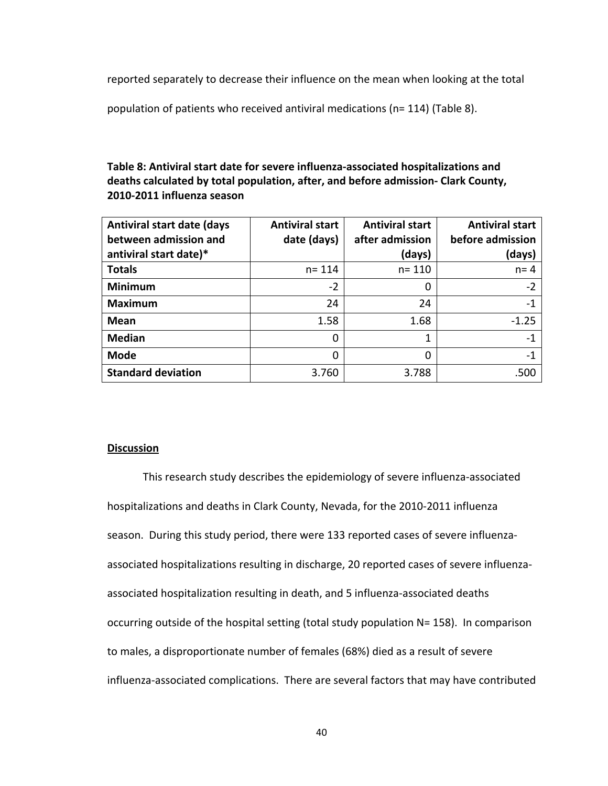reported separately to decrease their influence on the mean when looking at the total

population of patients who received antiviral medications (n= 114) (Table 8).

## Table 8: Antiviral start date for severe influenza-associated hospitalizations and deaths calculated by total population, after, and before admission- Clark County, **2010‐2011
influenza
season**

| <b>Antiviral start date (days</b><br>between admission and | <b>Antiviral start</b><br>date (days) | <b>Antiviral start</b><br>after admission | <b>Antiviral start</b><br>before admission |
|------------------------------------------------------------|---------------------------------------|-------------------------------------------|--------------------------------------------|
| antiviral start date)*                                     |                                       | (days)                                    | (days)                                     |
| <b>Totals</b>                                              | $n = 114$                             | $n = 110$                                 | $n = 4$                                    |
| <b>Minimum</b>                                             | $-2$                                  | 0                                         | $-2$                                       |
| <b>Maximum</b>                                             | 24                                    | 24                                        | -1                                         |
| <b>Mean</b>                                                | 1.58                                  | 1.68                                      | $-1.25$                                    |
| <b>Median</b>                                              | 0                                     |                                           | $-1$                                       |
| <b>Mode</b>                                                | 0                                     | 0                                         | -1                                         |
| <b>Standard deviation</b>                                  | 3.760                                 | 3.788                                     | .500                                       |

#### **Discussion**

This
research
study
describes
the
epidemiology
of
severe
influenza‐associated hospitalizations and deaths in Clark County, Nevada, for the 2010-2011 influenza season. During this study period, there were 133 reported cases of severe influenzaassociated hospitalizations resulting in discharge, 20 reported cases of severe influenzaassociated hospitalization resulting in death, and 5 influenza-associated deaths occurring outside of the hospital setting (total study population N= 158). In comparison to
males,
a
disproportionate
number
of
females
(68%)
died
as
a
result
of
severe influenza‐associated
complications.

There
are
several
factors
that
may
have
contributed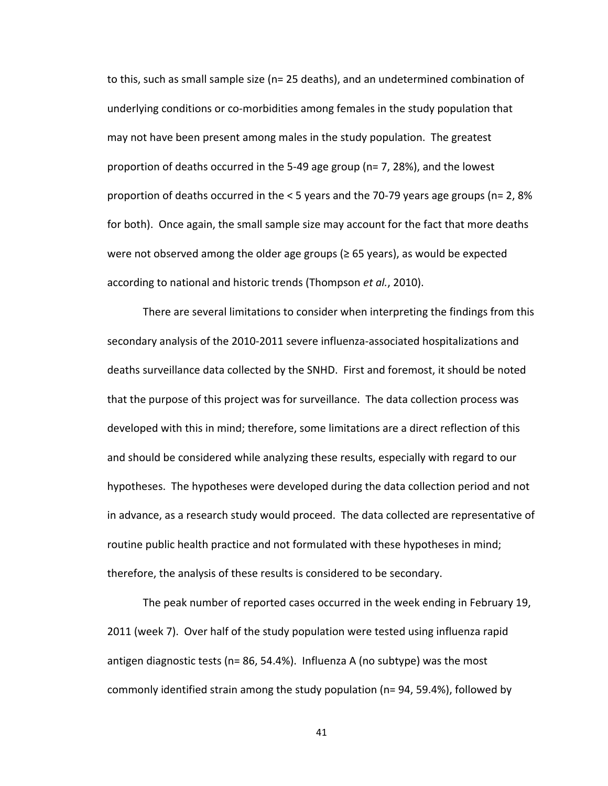to this, such as small sample size (n= 25 deaths), and an undetermined combination of underlying conditions or co-morbidities among females in the study population that may not have been present among males in the study population. The greatest proportion of deaths occurred in the 5-49 age group ( $n=7$ , 28%), and the lowest proportion of deaths occurred in the  $< 5$  years and the 70-79 years age groups (n= 2, 8% for both). Once again, the small sample size may account for the fact that more deaths were not observed among the older age groups ( $\geq 65$  years), as would be expected according to national and historic trends (Thompson et al., 2010).

There
are
several
limitations
to
consider
when
interpreting
the
findings
from
this secondary analysis of the 2010-2011 severe influenza-associated hospitalizations and deaths surveillance data collected by the SNHD. First and foremost, it should be noted that the purpose of this project was for surveillance. The data collection process was developed with this in mind; therefore, some limitations are a direct reflection of this and should be considered while analyzing these results, especially with regard to our hypotheses. The hypotheses were developed during the data collection period and not in advance, as a research study would proceed. The data collected are representative of routine public health practice and not formulated with these hypotheses in mind; therefore, the analysis of these results is considered to be secondary.

The
peak
number
of
reported
cases
occurred
in
the
week
ending
in
February
19, 2011
(week
7).

Over
half
of
the
study
population
were
tested
using
influenza
rapid antigen
diagnostic
tests
(n=
86,
54.4%).

Influenza
A
(no
subtype)
was
the
most commonly identified strain among the study population (n= 94, 59.4%), followed by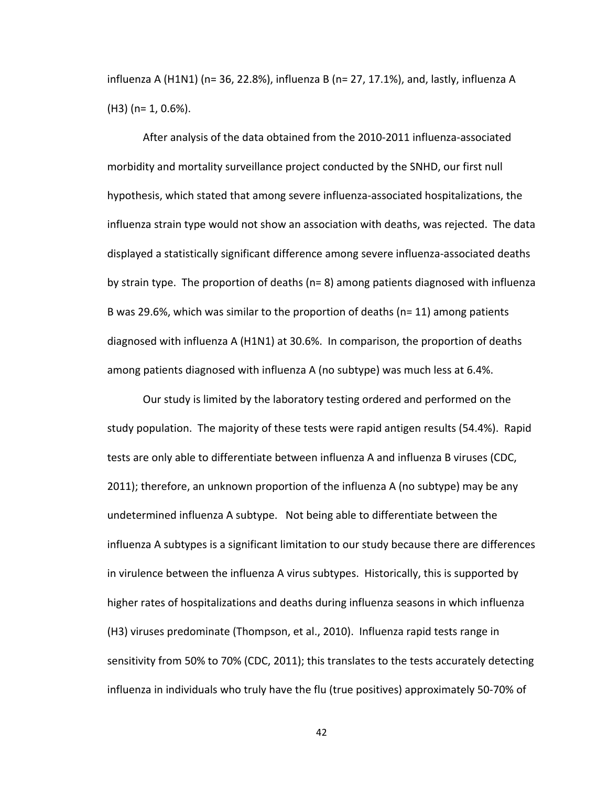influenza A (H1N1) (n= 36, 22.8%), influenza B (n= 27, 17.1%), and, lastly, influenza A (H3)
(n=
1,
0.6%).

After
analysis
of
the
data
obtained
from
the
2010‐2011
influenza‐associated morbidity and mortality surveillance project conducted by the SNHD, our first null hypothesis, which stated that among severe influenza-associated hospitalizations, the influenza strain type would not show an association with deaths, was rejected. The data displayed a statistically significant difference among severe influenza-associated deaths by strain type. The proportion of deaths (n= 8) among patients diagnosed with influenza B was 29.6%, which was similar to the proportion of deaths ( $n=11$ ) among patients diagnosed
with
influenza
A
(H1N1)
at
30.6%.

In
comparison,
the
proportion
of
deaths among
patients
diagnosed
with
influenza
A
(no
subtype)
was
much
less
at
6.4%.

Our study is limited by the laboratory testing ordered and performed on the study population. The majority of these tests were rapid antigen results (54.4%). Rapid tests are only able to differentiate between influenza A and influenza B viruses (CDC, 2011);
therefore,
an
unknown
proportion
of
the
influenza
A
(no
subtype)
may
be
any undetermined
influenza
A
subtype.

Not
being
able
to
differentiate
between
the influenza A subtypes is a significant limitation to our study because there are differences in virulence between the influenza A virus subtypes. Historically, this is supported by higher rates of hospitalizations and deaths during influenza seasons in which influenza (H3)
viruses
predominate
(Thompson,
et
al.,
2010).

Influenza
rapid
tests
range
in sensitivity from 50% to 70% (CDC, 2011); this translates to the tests accurately detecting influenza in individuals who truly have the flu (true positives) approximately 50-70% of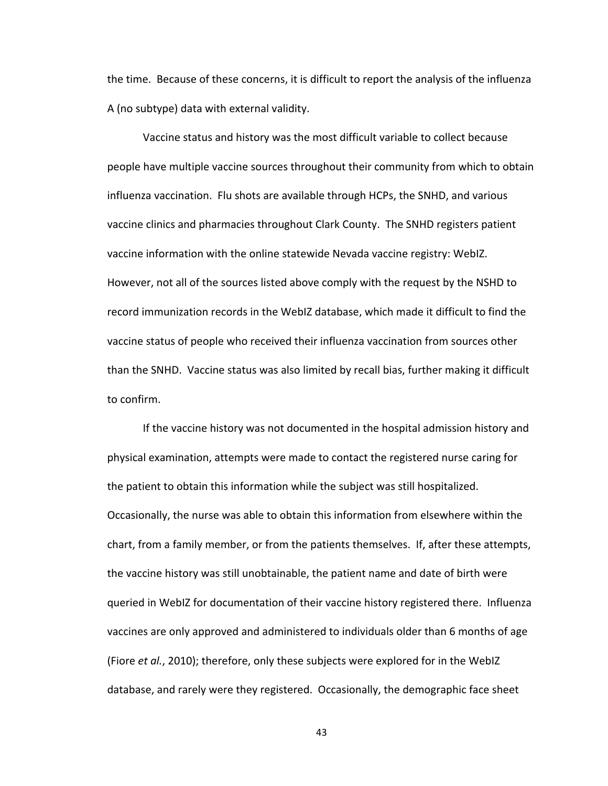the time. Because of these concerns, it is difficult to report the analysis of the influenza A
(no
subtype)
data
with
external
validity.

Vaccine
status
and
history
was
the
most
difficult
variable
to
collect
because people have multiple vaccine sources throughout their community from which to obtain influenza vaccination. Flu shots are available through HCPs, the SNHD, and various vaccine clinics and pharmacies throughout Clark County. The SNHD registers patient vaccine information with the online statewide Nevada vaccine registry: WebIZ. However, not all of the sources listed above comply with the request by the NSHD to record immunization records in the WebIZ database, which made it difficult to find the vaccine status of people who received their influenza vaccination from sources other than the SNHD. Vaccine status was also limited by recall bias, further making it difficult to
confirm.

If the vaccine history was not documented in the hospital admission history and physical
examination,
attempts
were
made
to
contact
the
registered
nurse
caring
for the patient to obtain this information while the subject was still hospitalized. Occasionally, the nurse was able to obtain this information from elsewhere within the chart,
from
a
family
member,
or
from
the
patients
themselves.

If,
after
these
attempts, the vaccine history was still unobtainable, the patient name and date of birth were queried
in
WebIZ
for
documentation
of
their
vaccine
history
registered
there.

Influenza vaccines are only approved and administered to individuals older than 6 months of age (Fiore et al., 2010); therefore, only these subjects were explored for in the WebIZ database, and rarely were they registered. Occasionally, the demographic face sheet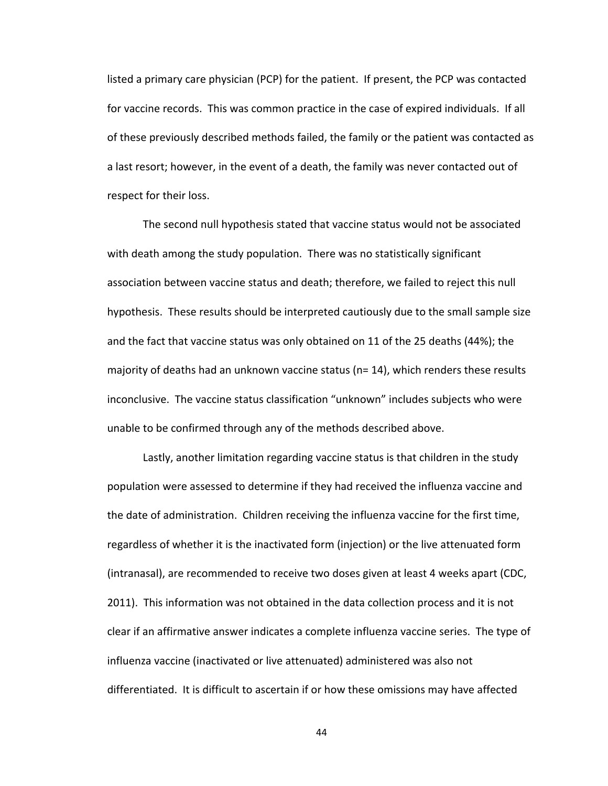listed a primary care physician (PCP) for the patient. If present, the PCP was contacted for vaccine records. This was common practice in the case of expired individuals. If all of
these
previously
described
methods
failed,
the
family
or
the
patient
was
contacted
as a last resort; however, in the event of a death, the family was never contacted out of respect
for
their
loss.

The
second
null
hypothesis
stated
that
vaccine
status
would
not
be
associated with death among the study population. There was no statistically significant association between vaccine status and death; therefore, we failed to reject this null hypothesis. These results should be interpreted cautiously due to the small sample size and the fact that vaccine status was only obtained on 11 of the 25 deaths (44%); the majority of deaths had an unknown vaccine status ( $n=14$ ), which renders these results inconclusive. The vaccine status classification "unknown" includes subjects who were unable to be confirmed through any of the methods described above.

Lastly, another limitation regarding vaccine status is that children in the study population
were
assessed
to
determine
if
they
had
received
the
influenza
vaccine
and the date of administration. Children receiving the influenza vaccine for the first time, regardless of whether it is the inactivated form (injection) or the live attenuated form (intranasal), are recommended to receive two doses given at least 4 weeks apart (CDC, 2011). This information was not obtained in the data collection process and it is not clear if an affirmative answer indicates a complete influenza vaccine series. The type of influenza vaccine (inactivated or live attenuated) administered was also not differentiated. It is difficult to ascertain if or how these omissions may have affected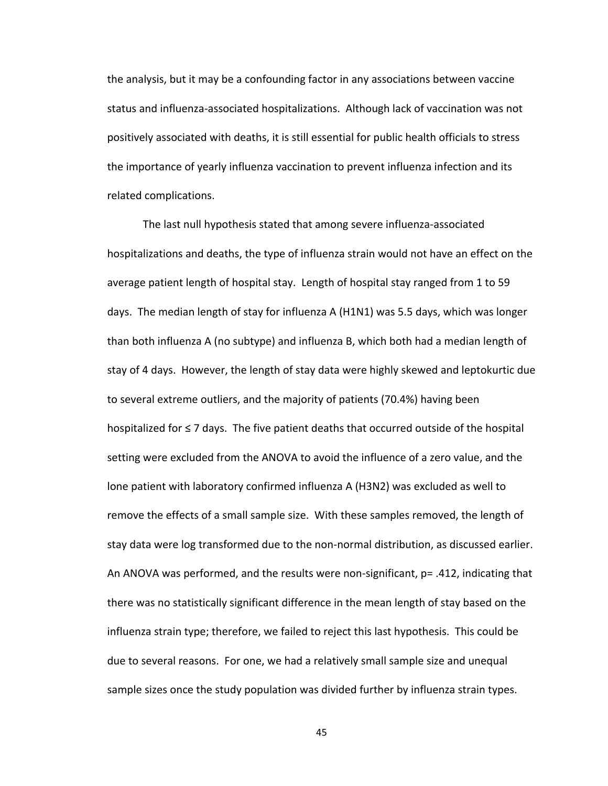the analysis, but it may be a confounding factor in any associations between vaccine status and influenza-associated hospitalizations. Although lack of vaccination was not positively associated with deaths, it is still essential for public health officials to stress the importance of yearly influenza vaccination to prevent influenza infection and its related
complications.

The
last
null
hypothesis
stated
that
among
severe
influenza‐associated hospitalizations and deaths, the type of influenza strain would not have an effect on the average patient length of hospital stay. Length of hospital stay ranged from 1 to 59 days. The median length of stay for influenza A (H1N1) was 5.5 days, which was longer than both influenza A (no subtype) and influenza B, which both had a median length of stay of 4 days. However, the length of stay data were highly skewed and leptokurtic due to several extreme outliers, and the majority of patients (70.4%) having been hospitalized for  $\leq 7$  days. The five patient deaths that occurred outside of the hospital setting were excluded from the ANOVA to avoid the influence of a zero value, and the lone patient with laboratory confirmed influenza A (H3N2) was excluded as well to remove the effects of a small sample size. With these samples removed, the length of stay data were log transformed due to the non-normal distribution, as discussed earlier. An ANOVA was performed, and the results were non-significant, p= .412, indicating that there was no statistically significant difference in the mean length of stay based on the influenza strain type; therefore, we failed to reject this last hypothesis. This could be due to several reasons. For one, we had a relatively small sample size and unequal sample sizes once the study population was divided further by influenza strain types.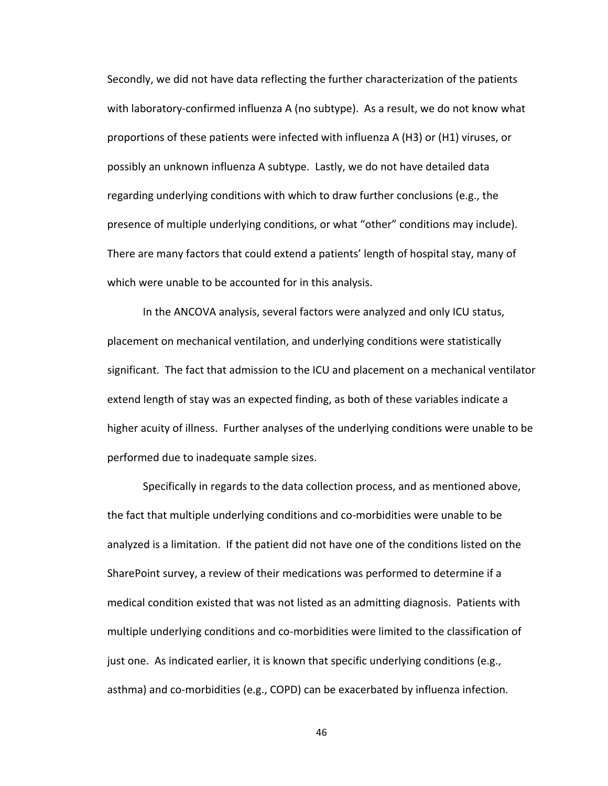Secondly, we did not have data reflecting the further characterization of the patients with laboratory-confirmed influenza A (no subtype). As a result, we do not know what proportions of these patients were infected with influenza A (H3) or (H1) viruses, or possibly
an
unknown
influenza
A
subtype.

Lastly,
we
do
not
have
detailed
data regarding underlying conditions with which to draw further conclusions (e.g., the presence of multiple underlying conditions, or what "other" conditions may include). There are many factors that could extend a patients' length of hospital stay, many of which were unable to be accounted for in this analysis.

In
the
ANCOVA
analysis,
several
factors
were
analyzed
and
only
ICU
status, placement
on
mechanical
ventilation,
and
underlying
conditions
were
statistically significant. The fact that admission to the ICU and placement on a mechanical ventilator extend length of stay was an expected finding, as both of these variables indicate a higher acuity of illness. Further analyses of the underlying conditions were unable to be performed
due
to
inadequate
sample
sizes.

Specifically in regards to the data collection process, and as mentioned above, the fact that multiple underlying conditions and co-morbidities were unable to be analyzed is a limitation. If the patient did not have one of the conditions listed on the SharePoint survey, a review of their medications was performed to determine if a medical condition existed that was not listed as an admitting diagnosis. Patients with multiple underlying conditions and co-morbidities were limited to the classification of just one. As indicated earlier, it is known that specific underlying conditions (e.g., asthma)
and
co‐morbidities
(e.g.,
COPD)
can
be
exacerbated
by
influenza
infection.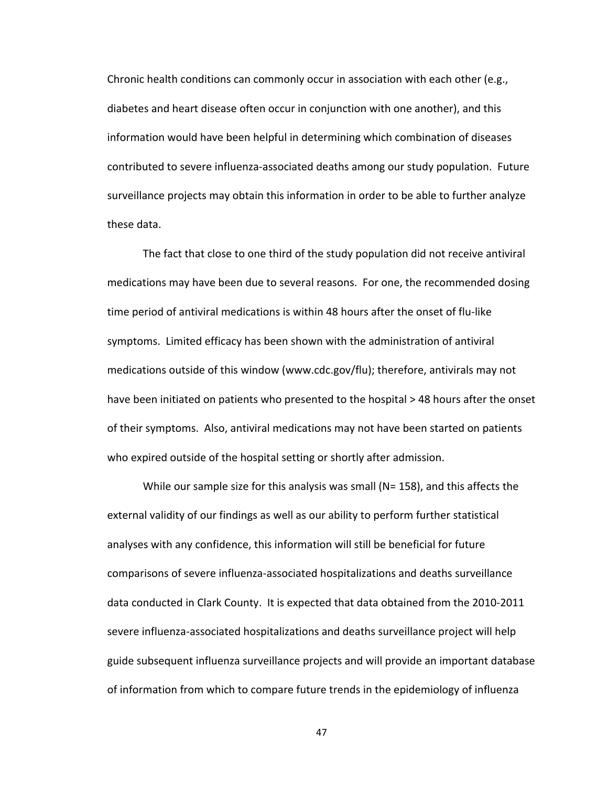Chronic health conditions can commonly occur in association with each other (e.g., diabetes and heart disease often occur in conjunction with one another), and this information
would
have
been
helpful
in
determining
which
combination
of
diseases contributed
to
severe
influenza‐associated
deaths
among
our
study
population.

Future surveillance projects may obtain this information in order to be able to further analyze these
data.

The
fact
that
close
to
one
third
of
the
study
population
did
not
receive
antiviral medications may have been due to several reasons. For one, the recommended dosing time period of antiviral medications is within 48 hours after the onset of flu-like symptoms.

Limited
efficacy
has
been
shown
with
the
administration
of
antiviral medications outside of this window (www.cdc.gov/flu); therefore, antivirals may not have been initiated on patients who presented to the hospital > 48 hours after the onset of
their
symptoms.

Also,
antiviral
medications
may
not
have
been
started
on
patients who expired outside of the hospital setting or shortly after admission.

While our sample size for this analysis was small (N= 158), and this affects the external validity of our findings as well as our ability to perform further statistical analyses with any confidence, this information will still be beneficial for future comparisons
of
severe
influenza‐associated
hospitalizations
and
deaths
surveillance data conducted in Clark County. It is expected that data obtained from the 2010-2011 severe
influenza‐associated
hospitalizations
and
deaths
surveillance
project
will
help guide subsequent influenza surveillance projects and will provide an important database of information from which to compare future trends in the epidemiology of influenza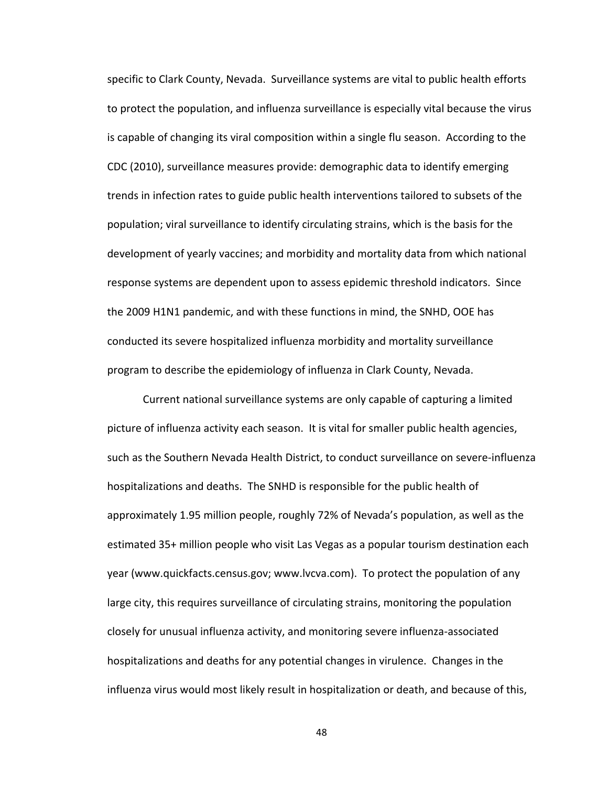specific to Clark County, Nevada. Surveillance systems are vital to public health efforts to protect the population, and influenza surveillance is especially vital because the virus is capable of changing its viral composition within a single flu season. According to the CDC
(2010),
surveillance
measures
provide:
demographic
data
to
identify
emerging trends in infection rates to guide public health interventions tailored to subsets of the population; viral surveillance to identify circulating strains, which is the basis for the development of yearly vaccines; and morbidity and mortality data from which national response systems are dependent upon to assess epidemic threshold indicators. Since the 2009 H1N1 pandemic, and with these functions in mind, the SNHD, OOE has conducted its severe hospitalized influenza morbidity and mortality surveillance program
to
describe
the
epidemiology
of
influenza
in
Clark
County,
Nevada.

Current national surveillance systems are only capable of capturing a limited picture
of
influenza
activity
each
season.

It
is
vital
for
smaller
public
health
agencies, such as the Southern Nevada Health District, to conduct surveillance on severe-influenza hospitalizations and deaths. The SNHD is responsible for the public health of approximately
1.95
million
people,
roughly
72%
of
Nevada's
population,
as
well
as
the estimated 35+ million people who visit Las Vegas as a popular tourism destination each year
(www.quickfacts.census.gov;
www.lvcva.com).

To
protect
the
population
of
any large city, this requires surveillance of circulating strains, monitoring the population closely
for
unusual
influenza
activity,
and monitoring
severe
influenza‐associated hospitalizations and deaths for any potential changes in virulence. Changes in the influenza virus would most likely result in hospitalization or death, and because of this,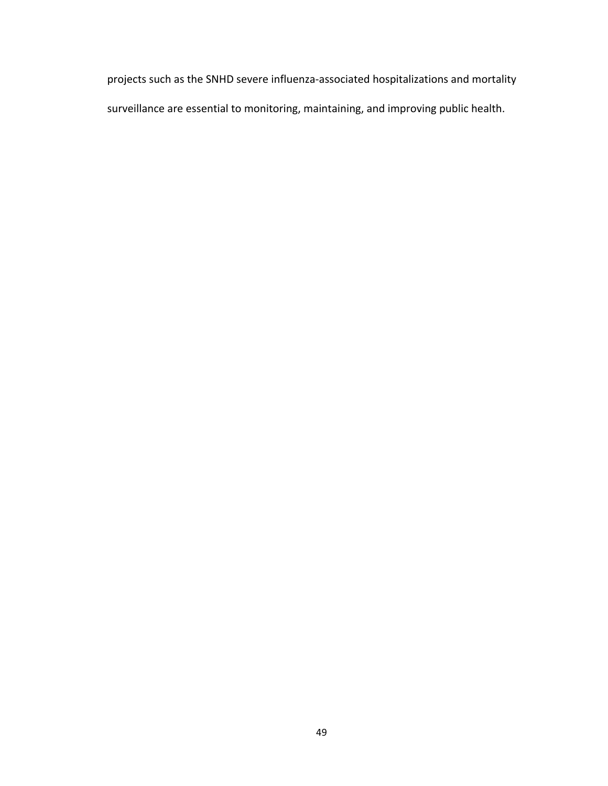projects
such
as
the
SNHD
severe
influenza‐associated
hospitalizations
and
mortality surveillance
are
essential
to
monitoring,
maintaining,
and
improving
public
health.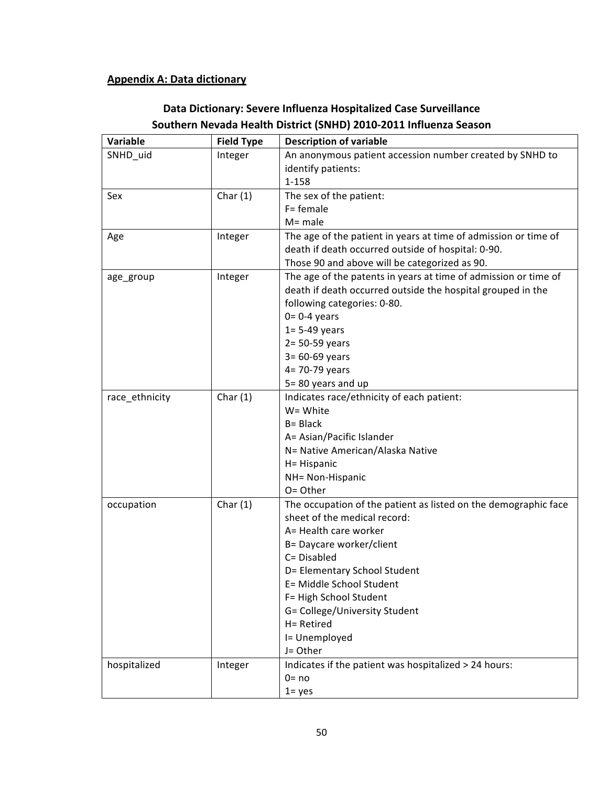# **Appendix
A:
Data
dictionary**

| Variable       | <b>Field Type</b> | <b>Description of variable</b>                                  |
|----------------|-------------------|-----------------------------------------------------------------|
| SNHD_uid       | Integer           | An anonymous patient accession number created by SNHD to        |
|                |                   | identify patients:                                              |
|                |                   | 1-158                                                           |
| Sex            | Char $(1)$        | The sex of the patient:                                         |
|                |                   | $F = f$ emale                                                   |
|                |                   | $M = male$                                                      |
| Age            | Integer           | The age of the patient in years at time of admission or time of |
|                |                   | death if death occurred outside of hospital: 0-90.              |
|                |                   | Those 90 and above will be categorized as 90.                   |
| age_group      | Integer           | The age of the patents in years at time of admission or time of |
|                |                   | death if death occurred outside the hospital grouped in the     |
|                |                   | following categories: 0-80.                                     |
|                |                   | $0=0-4$ years                                                   |
|                |                   | $1 = 5-49$ years                                                |
|                |                   | $2 = 50-59$ years                                               |
|                |                   | $3 = 60 - 69$ years                                             |
|                |                   | 4= 70-79 years                                                  |
|                |                   | 5=80 years and up                                               |
| race_ethnicity | Char $(1)$        | Indicates race/ethnicity of each patient:                       |
|                |                   | W= White                                                        |
|                |                   | B= Black                                                        |
|                |                   | A= Asian/Pacific Islander                                       |
|                |                   | N= Native American/Alaska Native                                |
|                |                   | H= Hispanic                                                     |
|                |                   | NH= Non-Hispanic                                                |
|                |                   | O= Other                                                        |
| occupation     | Char $(1)$        | The occupation of the patient as listed on the demographic face |
|                |                   | sheet of the medical record:                                    |
|                |                   | A= Health care worker                                           |
|                |                   | B= Daycare worker/client                                        |
|                |                   | C= Disabled                                                     |
|                |                   | D= Elementary School Student                                    |
|                |                   | E= Middle School Student                                        |
|                |                   | F= High School Student                                          |
|                |                   | G= College/University Student                                   |
|                |                   | H= Retired                                                      |
|                |                   | I= Unemployed                                                   |
|                |                   | J= Other                                                        |
| hospitalized   | Integer           | Indicates if the patient was hospitalized > 24 hours:           |
|                |                   | $0 = no$                                                        |
|                |                   | $1 = yes$                                                       |

# **Data
Dictionary:
Severe
Influenza
Hospitalized
Case
Surveillance Southern
Nevada
Health
District
(SNHD)
2010‐2011
Influenza
Season**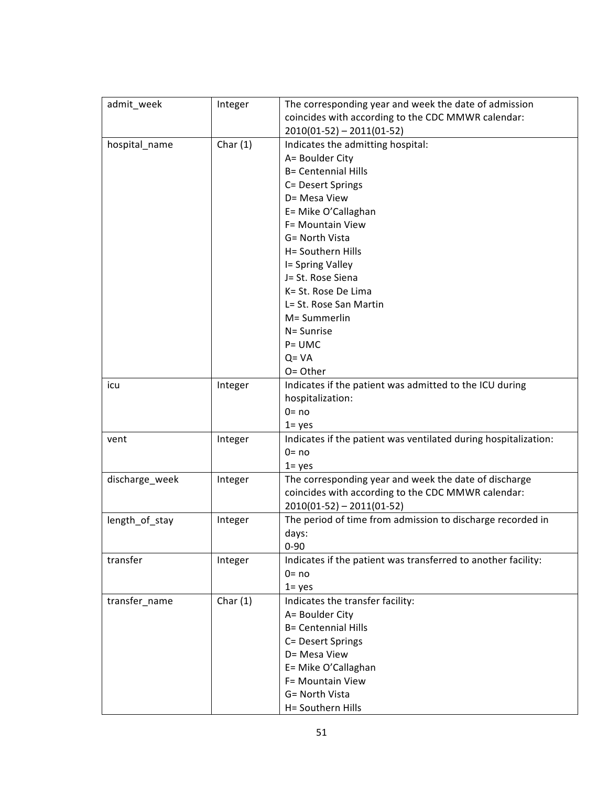| admit_week     | Integer    | The corresponding year and week the date of admission           |
|----------------|------------|-----------------------------------------------------------------|
|                |            | coincides with according to the CDC MMWR calendar:              |
|                |            | $2010(01-52) - 2011(01-52)$                                     |
| hospital_name  | Char $(1)$ | Indicates the admitting hospital:                               |
|                |            | A= Boulder City                                                 |
|                |            | <b>B= Centennial Hills</b>                                      |
|                |            | C= Desert Springs                                               |
|                |            | D= Mesa View                                                    |
|                |            | E= Mike O'Callaghan                                             |
|                |            | F= Mountain View                                                |
|                |            | G= North Vista                                                  |
|                |            | H= Southern Hills                                               |
|                |            | I= Spring Valley                                                |
|                |            | J= St. Rose Siena                                               |
|                |            | K= St. Rose De Lima                                             |
|                |            | L= St. Rose San Martin                                          |
|                |            | M= Summerlin                                                    |
|                |            |                                                                 |
|                |            | N= Sunrise                                                      |
|                |            | $P = UMC$                                                       |
|                |            | $Q = VA$                                                        |
|                |            | O= Other                                                        |
| icu            | Integer    | Indicates if the patient was admitted to the ICU during         |
|                |            | hospitalization:                                                |
|                |            | $0 = no$                                                        |
|                |            | $1 = yes$                                                       |
| vent           | Integer    | Indicates if the patient was ventilated during hospitalization: |
|                |            | $0 = no$                                                        |
|                |            | $1 = yes$                                                       |
| discharge_week | Integer    | The corresponding year and week the date of discharge           |
|                |            | coincides with according to the CDC MMWR calendar:              |
|                |            | $2010(01-52) - 2011(01-52)$                                     |
| length_of_stay | Integer    | The period of time from admission to discharge recorded in      |
|                |            | days:                                                           |
|                |            | $0 - 90$                                                        |
| transfer       | Integer    | Indicates if the patient was transferred to another facility:   |
|                |            | $0 = no$                                                        |
|                |            | $1 = yes$                                                       |
| transfer name  | Char $(1)$ | Indicates the transfer facility:                                |
|                |            | A= Boulder City                                                 |
|                |            | <b>B= Centennial Hills</b>                                      |
|                |            | C= Desert Springs                                               |
|                |            | D= Mesa View                                                    |
|                |            | E= Mike O'Callaghan                                             |
|                |            | F= Mountain View                                                |
|                |            | G= North Vista                                                  |
|                |            | H= Southern Hills                                               |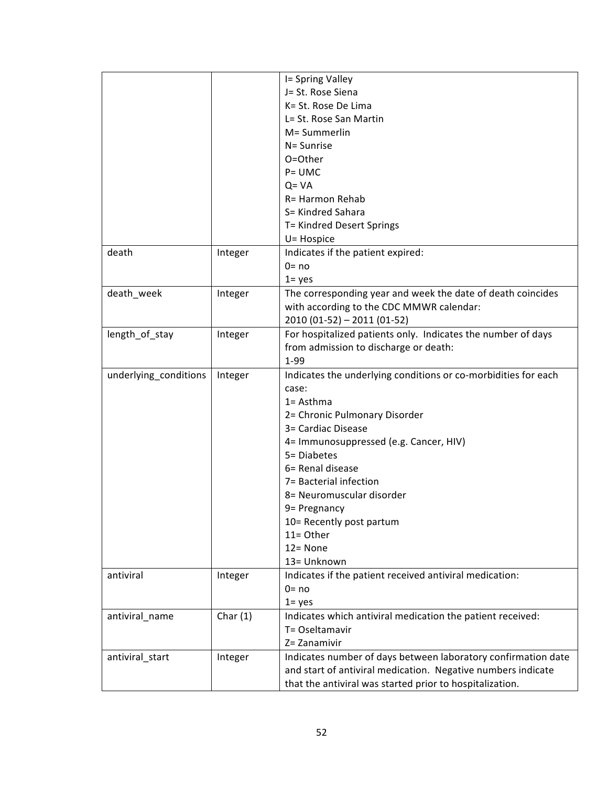|                       |            | I= Spring Valley                                               |
|-----------------------|------------|----------------------------------------------------------------|
|                       |            | J= St. Rose Siena                                              |
|                       |            | K= St. Rose De Lima                                            |
|                       |            | L= St. Rose San Martin                                         |
|                       |            | M= Summerlin                                                   |
|                       |            | N= Sunrise                                                     |
|                       |            | O=Other                                                        |
|                       |            | $P = UMC$                                                      |
|                       |            | $Q = VA$                                                       |
|                       |            | R= Harmon Rehab                                                |
|                       |            | S= Kindred Sahara                                              |
|                       |            |                                                                |
|                       |            | T= Kindred Desert Springs                                      |
|                       |            | U= Hospice                                                     |
| death                 | Integer    | Indicates if the patient expired:                              |
|                       |            | $0 = no$                                                       |
|                       |            | $1 = yes$                                                      |
| death_week            | Integer    | The corresponding year and week the date of death coincides    |
|                       |            | with according to the CDC MMWR calendar:                       |
|                       |            | 2010 (01-52) - 2011 (01-52)                                    |
| length of stay        | Integer    | For hospitalized patients only. Indicates the number of days   |
|                       |            | from admission to discharge or death:                          |
|                       |            | 1-99                                                           |
| underlying_conditions | Integer    | Indicates the underlying conditions or co-morbidities for each |
|                       |            | case:                                                          |
|                       |            | $1 =$ Asthma                                                   |
|                       |            | 2= Chronic Pulmonary Disorder                                  |
|                       |            | 3= Cardiac Disease                                             |
|                       |            | 4= Immunosuppressed (e.g. Cancer, HIV)                         |
|                       |            | 5= Diabetes                                                    |
|                       |            | 6= Renal disease                                               |
|                       |            | 7= Bacterial infection                                         |
|                       |            | 8= Neuromuscular disorder                                      |
|                       |            | 9 = Pregnancy                                                  |
|                       |            | 10= Recently post partum                                       |
|                       |            | 11= Other                                                      |
|                       |            | $12 = None$                                                    |
|                       |            | 13= Unknown                                                    |
| antiviral             | Integer    | Indicates if the patient received antiviral medication:        |
|                       |            | $0 = no$                                                       |
|                       |            | $1 = yes$                                                      |
| antiviral_name        | Char $(1)$ | Indicates which antiviral medication the patient received:     |
|                       |            | T= Oseltamavir                                                 |
|                       |            | Z= Zanamivir                                                   |
|                       |            |                                                                |
| antiviral_start       | Integer    | Indicates number of days between laboratory confirmation date  |
|                       |            | and start of antiviral medication. Negative numbers indicate   |
|                       |            | that the antiviral was started prior to hospitalization.       |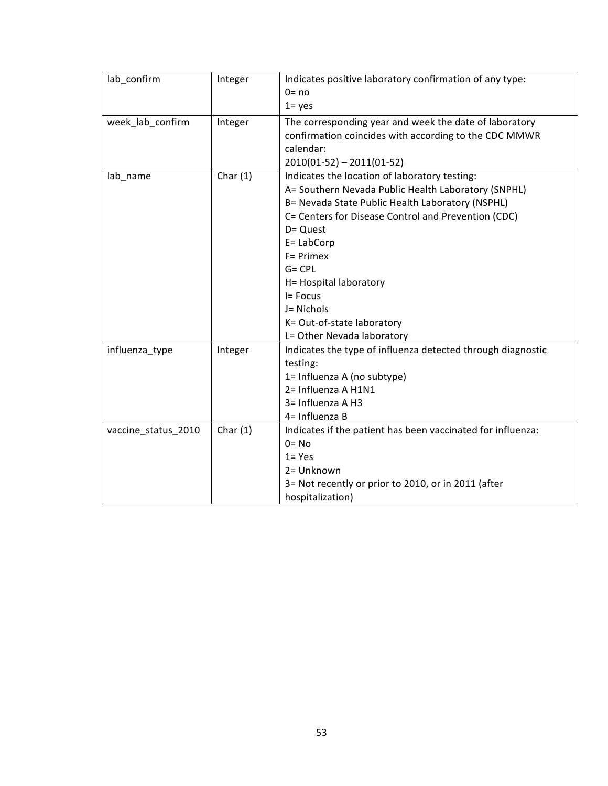| lab confirm         | Integer    | Indicates positive laboratory confirmation of any type:<br>$0 = no$<br>$1 = yes$                                                                                                                                                                                                                                                                                                       |
|---------------------|------------|----------------------------------------------------------------------------------------------------------------------------------------------------------------------------------------------------------------------------------------------------------------------------------------------------------------------------------------------------------------------------------------|
| week_lab_confirm    | Integer    | The corresponding year and week the date of laboratory<br>confirmation coincides with according to the CDC MMWR<br>calendar:<br>$2010(01-52) - 2011(01-52)$                                                                                                                                                                                                                            |
| lab_name            | Char $(1)$ | Indicates the location of laboratory testing:<br>A= Southern Nevada Public Health Laboratory (SNPHL)<br>B= Nevada State Public Health Laboratory (NSPHL)<br>C= Centers for Disease Control and Prevention (CDC)<br>D= Quest<br>$E = LabCorp$<br>F= Primex<br>$G = CPL$<br>H= Hospital laboratory<br>I= Focus<br>J= Nichols<br>K= Out-of-state laboratory<br>L= Other Nevada laboratory |
| influenza_type      | Integer    | Indicates the type of influenza detected through diagnostic<br>testing:<br>1= Influenza A (no subtype)<br>2= Influenza A H1N1<br>3= Influenza A H3<br>4= Influenza B                                                                                                                                                                                                                   |
| vaccine_status_2010 | Char $(1)$ | Indicates if the patient has been vaccinated for influenza:<br>$0 = No$<br>$1 = Yes$<br>2= Unknown<br>3= Not recently or prior to 2010, or in 2011 (after<br>hospitalization)                                                                                                                                                                                                          |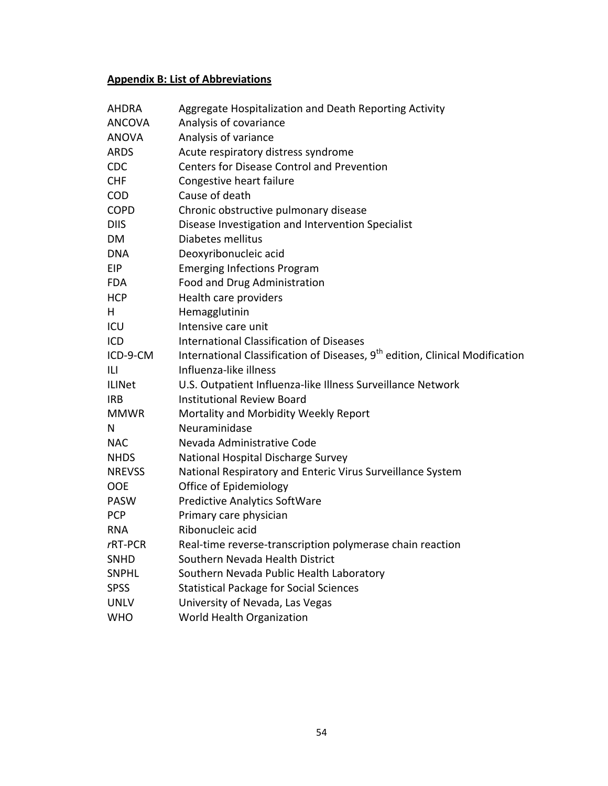# **Appendix
B:
List
of
Abbreviations**

| <b>AHDRA</b>  | Aggregate Hospitalization and Death Reporting Activity                                   |
|---------------|------------------------------------------------------------------------------------------|
| ANCOVA        | Analysis of covariance                                                                   |
| <b>ANOVA</b>  | Analysis of variance                                                                     |
| <b>ARDS</b>   | Acute respiratory distress syndrome                                                      |
| <b>CDC</b>    | <b>Centers for Disease Control and Prevention</b>                                        |
| <b>CHF</b>    | Congestive heart failure                                                                 |
| <b>COD</b>    | Cause of death                                                                           |
| <b>COPD</b>   | Chronic obstructive pulmonary disease                                                    |
| <b>DIIS</b>   | Disease Investigation and Intervention Specialist                                        |
| <b>DM</b>     | Diabetes mellitus                                                                        |
| DNA           | Deoxyribonucleic acid                                                                    |
| EIP           | <b>Emerging Infections Program</b>                                                       |
| <b>FDA</b>    | Food and Drug Administration                                                             |
| <b>HCP</b>    | Health care providers                                                                    |
| H             | Hemagglutinin                                                                            |
| ICU           | Intensive care unit                                                                      |
| ICD           | <b>International Classification of Diseases</b>                                          |
| ICD-9-CM      | International Classification of Diseases, 9 <sup>th</sup> edition, Clinical Modification |
| ILI           | Influenza-like illness                                                                   |
| <b>ILINet</b> | U.S. Outpatient Influenza-like Illness Surveillance Network                              |
| <b>IRB</b>    | <b>Institutional Review Board</b>                                                        |
| <b>MMWR</b>   | Mortality and Morbidity Weekly Report                                                    |
| N             | Neuraminidase                                                                            |
| <b>NAC</b>    | Nevada Administrative Code                                                               |
| <b>NHDS</b>   | National Hospital Discharge Survey                                                       |
| <b>NREVSS</b> | National Respiratory and Enteric Virus Surveillance System                               |
| <b>OOE</b>    | Office of Epidemiology                                                                   |
| <b>PASW</b>   | <b>Predictive Analytics SoftWare</b>                                                     |
| <b>PCP</b>    | Primary care physician                                                                   |
| <b>RNA</b>    | Ribonucleic acid                                                                         |
| rRT-PCR       | Real-time reverse-transcription polymerase chain reaction                                |
| <b>SNHD</b>   | Southern Nevada Health District                                                          |
| <b>SNPHL</b>  | Southern Nevada Public Health Laboratory                                                 |
| <b>SPSS</b>   | <b>Statistical Package for Social Sciences</b>                                           |
| <b>UNLV</b>   | University of Nevada, Las Vegas                                                          |
| <b>WHO</b>    | World Health Organization                                                                |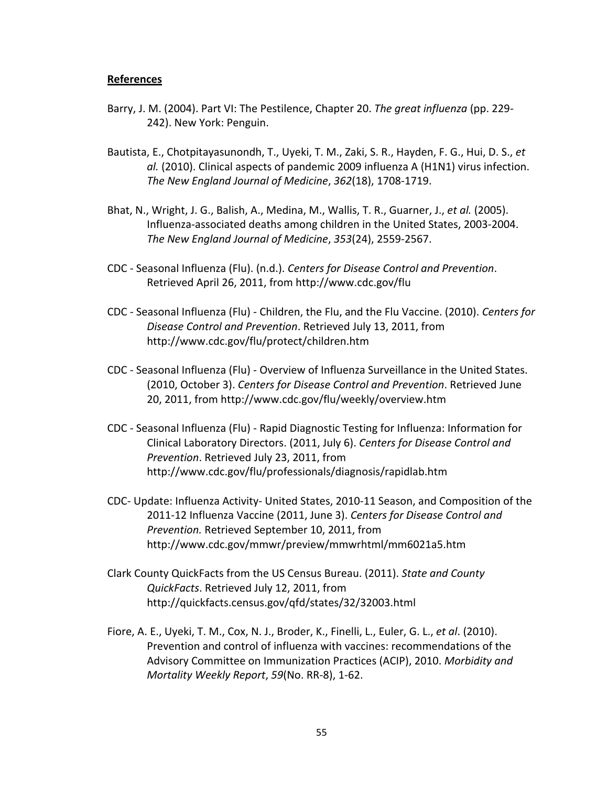#### **References**

- Barry, J. M. (2004). Part VI: The Pestilence, Chapter 20. The great influenza (pp. 229-242).
New
York:
Penguin.
- Bautista, E., Chotpitayasunondh, T., Uyeki, T. M., Zaki, S. R., Hayden, F. G., Hui, D. S., et al. (2010). Clinical aspects of pandemic 2009 influenza A (H1N1) virus infection. *The
New
England
Journal
of
Medicine*, *362*(18),
1708‐1719.
- Bhat, N., Wright, J. G., Balish, A., Medina, M., Wallis, T. R., Guarner, J., et al. (2005). Influenza‐associated
deaths
among
children
in
the
United
States,
2003‐2004. *The
New
England
Journal
of
Medicine*, *353*(24),
2559‐2567.
- CDC
‐
Seasonal
Influenza
(Flu).
(n.d.). *Centers
for
Disease
Control
and
Prevention*. Retrieved
April
26,
2011,
from
http://www.cdc.gov/flu
- CDC Seasonal Influenza (Flu) Children, the Flu, and the Flu Vaccine. (2010). Centers for *Disease
Control
and
Prevention*.
Retrieved
July
13,
2011,
from http://www.cdc.gov/flu/protect/children.htm
- CDC Seasonal Influenza (Flu) Overview of Influenza Surveillance in the United States. (2010,
October
3). *Centers
for
Disease
Control
and
Prevention*.
Retrieved
June 20,
2011,
from
http://www.cdc.gov/flu/weekly/overview.htm
- CDC Seasonal Influenza (Flu) Rapid Diagnostic Testing for Influenza: Information for Clinical
Laboratory
Directors.
(2011,
July
6). *Centers
for
Disease
Control
and Prevention*.
Retrieved
July
23,
2011,
from http://www.cdc.gov/flu/professionals/diagnosis/rapidlab.htm
- CDC- Update: Influenza Activity- United States, 2010-11 Season, and Composition of the 2011-12 Influenza Vaccine (2011, June 3). Centers for Disease Control and *Prevention.* Retrieved
September
10,
2011,
from http://www.cdc.gov/mmwr/preview/mmwrhtml/mm6021a5.htm
- Clark
County
QuickFacts
from
the
US
Census
Bureau.
(2011). *State
and
County QuickFacts*.
Retrieved
July
12,
2011,
from http://quickfacts.census.gov/qfd/states/32/32003.html
- Fiore, A. E., Uyeki, T. M., Cox, N. J., Broder, K., Finelli, L., Euler, G. L., et al. (2010). Prevention and control of influenza with vaccines: recommendations of the Advisory
Committee
on
Immunization
Practices
(ACIP),
2010. *Morbidity
and Mortality
Weekly
Report*, *59*(No.
RR‐8),
1‐62.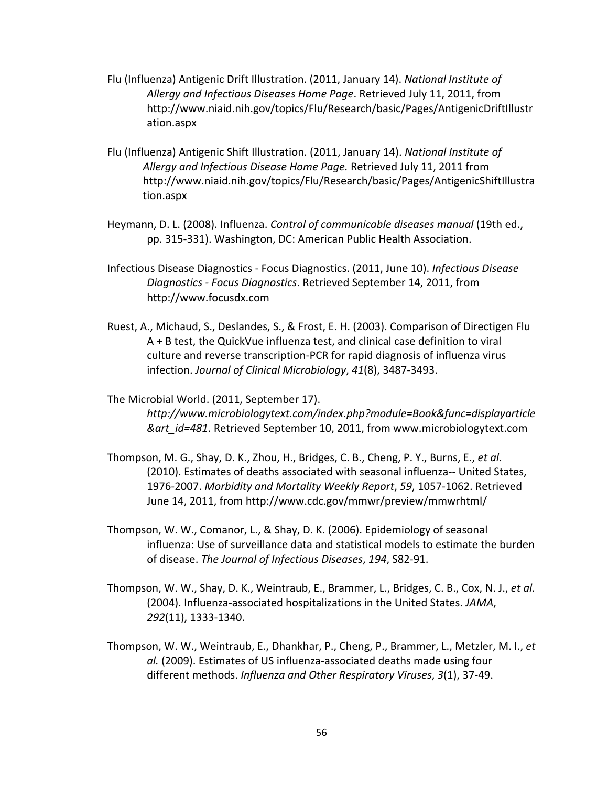- Flu (Influenza) Antigenic Drift Illustration. (2011, January 14). National Institute of Allergy and Infectious Diseases Home Page. Retrieved July 11, 2011, from http://www.niaid.nih.gov/topics/Flu/Research/basic/Pages/AntigenicDriftIllustr ation.aspx
- Flu (Influenza) Antigenic Shift Illustration. (2011, January 14). National Institute of Allergy and Infectious Disease Home Page. Retrieved July 11, 2011 from http://www.niaid.nih.gov/topics/Flu/Research/basic/Pages/AntigenicShiftIllustra tion.aspx
- Heymann, D. L. (2008). Influenza. Control of communicable diseases manual (19th ed., pp.
315‐331).
Washington,
DC:
American
Public
Health
Association.
- Infectious
Disease
Diagnostics
‐
Focus
Diagnostics.
(2011,
June
10). *Infectious
Disease Diagnostics
‐
Focus
Diagnostics*.
Retrieved
September
14,
2011,
from http://www.focusdx.com
- Ruest, A., Michaud, S., Deslandes, S., & Frost, E. H. (2003). Comparison of Directigen Flu A
+
B
test,
the
QuickVue
influenza
test,
and
clinical
case
definition
to
viral culture
and
reverse
transcription‐PCR
for
rapid
diagnosis
of
influenza
virus infection. *Journal
of
Clinical
Microbiology*, *41*(8),
3487‐3493.

The
Microbial
World.
(2011,
September
17). *http://www.microbiologytext.com/index.php?module=Book&func=displayarticle &art\_id=481*.
Retrieved
September
10,
2011,
from
www.microbiologytext.com

- Thompson, M. G., Shay, D. K., Zhou, H., Bridges, C. B., Cheng, P. Y., Burns, E., et al. (2010).
Estimates
of
deaths
associated
with
seasonal
influenza‐‐
United
States, 1976‐2007. *Morbidity
and
Mortality
Weekly
Report*, *59*,
1057‐1062.
Retrieved June 14, 2011, from http://www.cdc.gov/mmwr/preview/mmwrhtml/
- Thompson,
W.
W.,
Comanor,
L.,
&
Shay,
D.
K.
(2006).
Epidemiology
of
seasonal influenza:
Use
of
surveillance
data
and
statistical
models
to
estimate
the
burden of
disease. *The
Journal
of
Infectious
Diseases*, *194*,
S82‐91.
- Thompson, W. W., Shay, D. K., Weintraub, E., Brammer, L., Bridges, C. B., Cox, N. J., et al. (2004).
Influenza‐associated
hospitalizations
in
the
United
States. *JAMA*, *292*(11),
1333‐1340.
- Thompson, W. W., Weintraub, E., Dhankhar, P., Cheng, P., Brammer, L., Metzler, M. I., et al. (2009). Estimates of US influenza-associated deaths made using four different
methods. *Influenza
and
Other
Respiratory
Viruses*, *3*(1),
37‐49.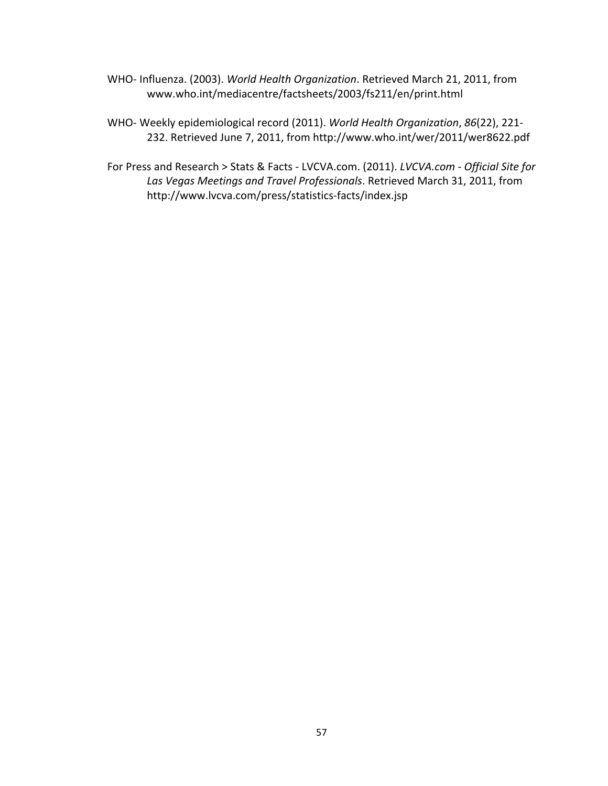- WHO- Influenza. (2003). World Health Organization. Retrieved March 21, 2011, from www.who.int/mediacentre/factsheets/2003/fs211/en/print.html
- WHO‐
Weekly
epidemiological
record
(2011). *World
Health
Organization*, *86*(22),
221‐ 232.
Retrieved
June
7,
2011,
from
http://www.who.int/wer/2011/wer8622.pdf

For Press and Research > Stats & Facts - LVCVA.com. (2011). *LVCVA.com - Official Site for* Las Vegas Meetings and Travel Professionals. Retrieved March 31, 2011, from http://www.lvcva.com/press/statistics‐facts/index.jsp